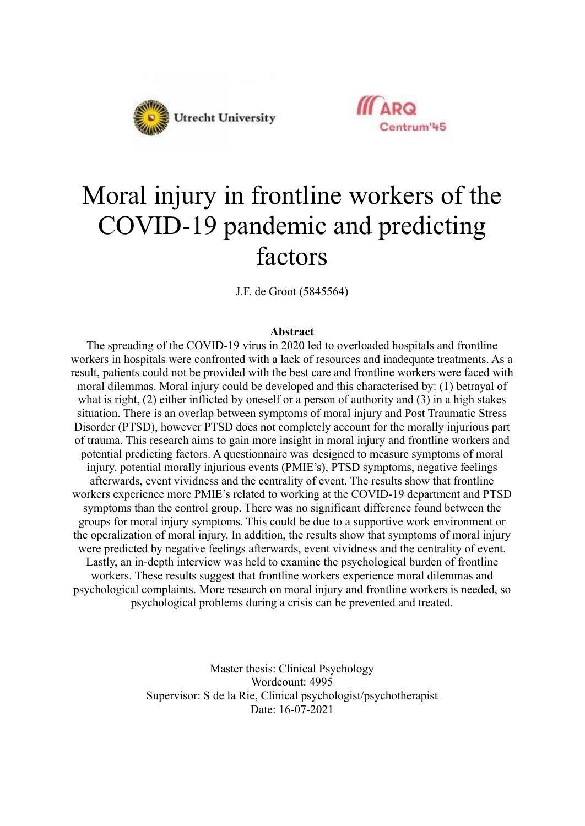



# Moral injury in frontline workers of the COVID-19 pandemic and predicting factors

J.F. de Groot (5845564)

#### **Abstract**

The spreading of the COVID-19 virus in 2020 led to overloaded hospitals and frontline workers in hospitals were confronted with a lack of resources and inadequate treatments. As a result, patients could not be provided with the best care and frontline workers were faced with moral dilemmas. Moral injury could be developed and this characterised by: (1) betrayal of what is right, (2) either inflicted by oneself or a person of authority and (3) in a high stakes situation. There is an overlap between symptoms of moral injury and Post Traumatic Stress Disorder (PTSD), however PTSD does not completely account for the morally injurious part of trauma. This research aims to gain more insight in moral injury and frontline workers and potential predicting factors. A questionnaire was designed to measure symptoms of moral injury, potential morally injurious events (PMIE's), PTSD symptoms, negative feelings afterwards, event vividness and the centrality of event. The results show that frontline workers experience more PMIE's related to working at the COVID-19 department and PTSD symptoms than the control group. There was no significant difference found between the groups for moral injury symptoms. This could be due to a supportive work environment or the operalization of moral injury. In addition, the results show that symptoms of moral injury were predicted by negative feelings afterwards, event vividness and the centrality of event. Lastly, an in-depth interview was held to examine the psychological burden of frontline workers. These results suggest that frontline workers experience moral dilemmas and psychological complaints. More research on moral injury and frontline workers is needed, so psychological problems during a crisis can be prevented and treated.

> Master thesis: Clinical Psychology Wordcount: 4995 Supervisor: S de la Rie, Clinical psychologist/psychotherapist Date: 16-07-2021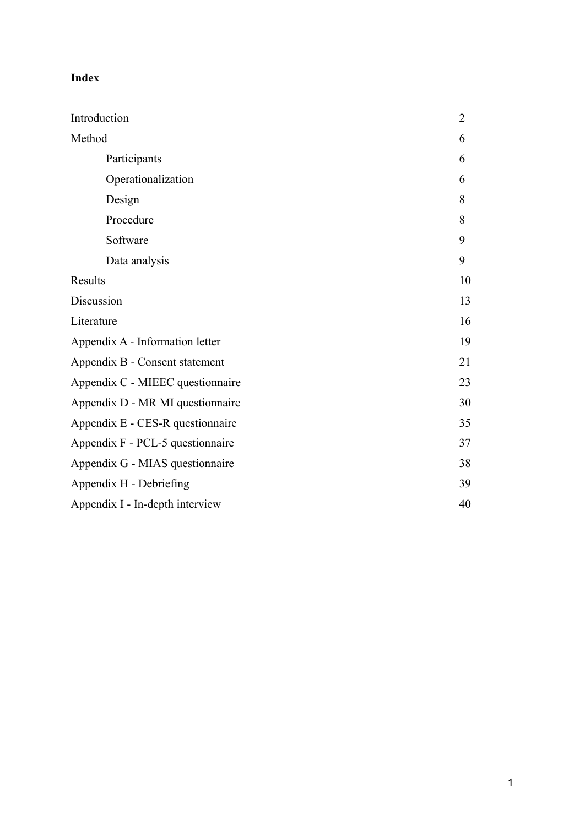# **Index**

| Introduction                     | $\overline{2}$ |
|----------------------------------|----------------|
| Method                           | 6              |
| Participants                     | 6              |
| Operationalization               | 6              |
| Design                           | 8              |
| Procedure                        | 8              |
| Software                         | 9              |
| Data analysis                    | 9              |
| Results                          | 10             |
| Discussion                       | 13             |
| Literature                       | 16             |
| Appendix A - Information letter  | 19             |
| Appendix B - Consent statement   | 21             |
| Appendix C - MIEEC questionnaire | 23             |
| Appendix D - MR MI questionnaire | 30             |
| Appendix E - CES-R questionnaire | 35             |
| Appendix F - PCL-5 questionnaire | 37             |
| Appendix G - MIAS questionnaire  | 38             |
| Appendix H - Debriefing          | 39             |
| Appendix I - In-depth interview  | 40             |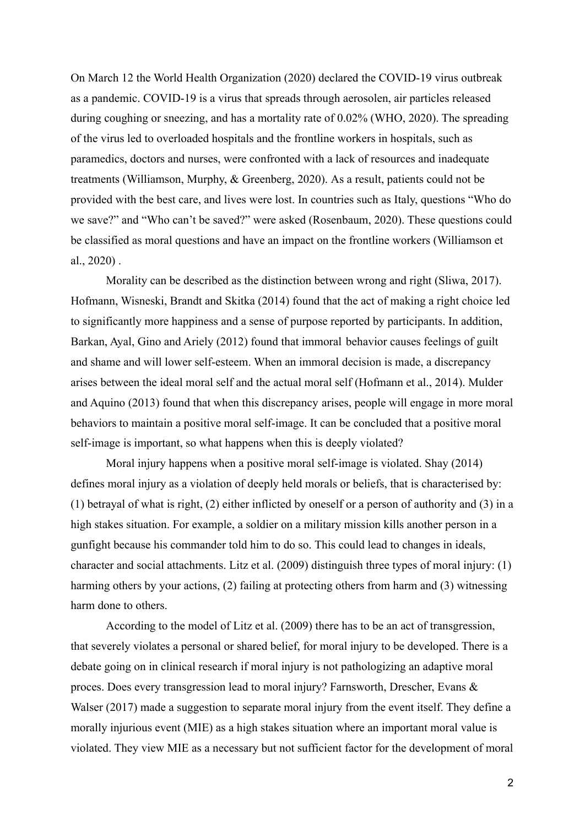On March 12 the World Health Organization (2020) declared the COVID-19 virus outbreak as a pandemic. COVID-19 is a virus that spreads through aerosolen, air particles released during coughing or sneezing, and has a mortality rate of 0.02% (WHO, 2020). The spreading of the virus led to overloaded hospitals and the frontline workers in hospitals, such as paramedics, doctors and nurses, were confronted with a lack of resources and inadequate treatments (Williamson, Murphy, & Greenberg, 2020). As a result, patients could not be provided with the best care, and lives were lost. In countries such as Italy, questions "Who do we save?" and "Who can't be saved?" were asked (Rosenbaum, 2020). These questions could be classified as moral questions and have an impact on the frontline workers (Williamson et al., 2020) .

Morality can be described as the distinction between wrong and right (Sliwa, 2017). Hofmann, Wisneski, Brandt and Skitka (2014) found that the act of making a right choice led to significantly more happiness and a sense of purpose reported by participants. In addition, Barkan, Ayal, Gino and Ariely (2012) found that immoral behavior causes feelings of guilt and shame and will lower self-esteem. When an immoral decision is made, a discrepancy arises between the ideal moral self and the actual moral self (Hofmann et al., 2014). Mulder and Aquino (2013) found that when this discrepancy arises, people will engage in more moral behaviors to maintain a positive moral self-image. It can be concluded that a positive moral self-image is important, so what happens when this is deeply violated?

Moral injury happens when a positive moral self-image is violated. Shay (2014) defines moral injury as a violation of deeply held morals or beliefs, that is characterised by: (1) betrayal of what is right, (2) either inflicted by oneself or a person of authority and (3) in a high stakes situation. For example, a soldier on a military mission kills another person in a gunfight because his commander told him to do so. This could lead to changes in ideals, character and social attachments. Litz et al. (2009) distinguish three types of moral injury: (1) harming others by your actions, (2) failing at protecting others from harm and (3) witnessing harm done to others.

According to the model of Litz et al. (2009) there has to be an act of transgression, that severely violates a personal or shared belief, for moral injury to be developed. There is a debate going on in clinical research if moral injury is not pathologizing an adaptive moral proces. Does every transgression lead to moral injury? Farnsworth, Drescher, Evans & Walser (2017) made a suggestion to separate moral injury from the event itself. They define a morally injurious event (MIE) as a high stakes situation where an important moral value is violated. They view MIE as a necessary but not sufficient factor for the development of moral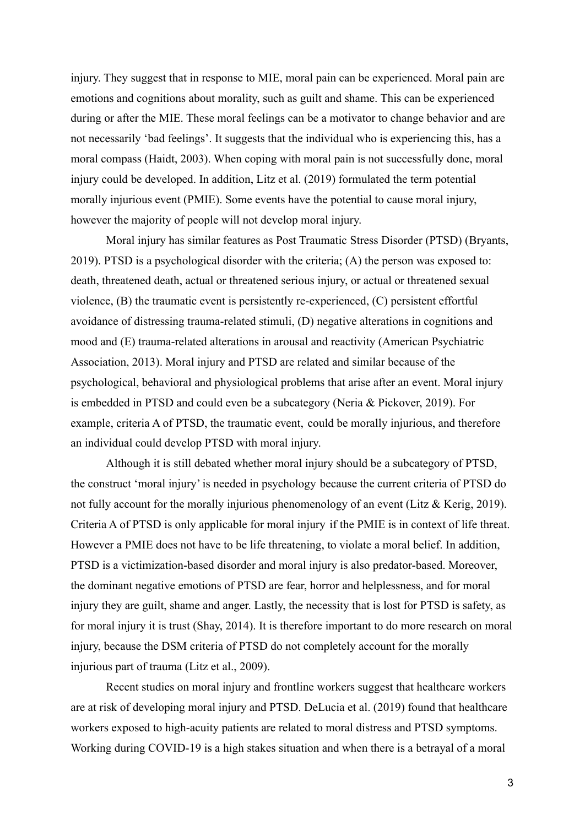injury. They suggest that in response to MIE, moral pain can be experienced. Moral pain are emotions and cognitions about morality, such as guilt and shame. This can be experienced during or after the MIE. These moral feelings can be a motivator to change behavior and are not necessarily 'bad feelings'. It suggests that the individual who is experiencing this, has a moral compass (Haidt, 2003). When coping with moral pain is not successfully done, moral injury could be developed. In addition, Litz et al. (2019) formulated the term potential morally injurious event (PMIE). Some events have the potential to cause moral injury, however the majority of people will not develop moral injury.

Moral injury has similar features as Post Traumatic Stress Disorder (PTSD) (Bryants, 2019). PTSD is a psychological disorder with the criteria; (A) the person was exposed to: death, threatened death, actual or threatened serious injury, or actual or threatened sexual violence, (B) the traumatic event is persistently re-experienced, (C) persistent effortful avoidance of distressing trauma-related stimuli, (D) negative alterations in cognitions and mood and (E) trauma-related alterations in arousal and reactivity (American Psychiatric Association, 2013). Moral injury and PTSD are related and similar because of the psychological, behavioral and physiological problems that arise after an event. Moral injury is embedded in PTSD and could even be a subcategory (Neria & Pickover, 2019). For example, criteria A of PTSD, the traumatic event, could be morally injurious, and therefore an individual could develop PTSD with moral injury.

Although it is still debated whether moral injury should be a subcategory of PTSD, the construct 'moral injury' is needed in psychology because the current criteria of PTSD do not fully account for the morally injurious phenomenology of an event (Litz & Kerig, 2019). Criteria A of PTSD is only applicable for moral injury if the PMIE is in context of life threat. However a PMIE does not have to be life threatening, to violate a moral belief. In addition, PTSD is a victimization-based disorder and moral injury is also predator-based. Moreover, the dominant negative emotions of PTSD are fear, horror and helplessness, and for moral injury they are guilt, shame and anger. Lastly, the necessity that is lost for PTSD is safety, as for moral injury it is trust (Shay, 2014). It is therefore important to do more research on moral injury, because the DSM criteria of PTSD do not completely account for the morally injurious part of trauma (Litz et al., 2009).

Recent studies on moral injury and frontline workers suggest that healthcare workers are at risk of developing moral injury and PTSD. DeLucia et al. (2019) found that healthcare workers exposed to high-acuity patients are related to moral distress and PTSD symptoms. Working during COVID-19 is a high stakes situation and when there is a betrayal of a moral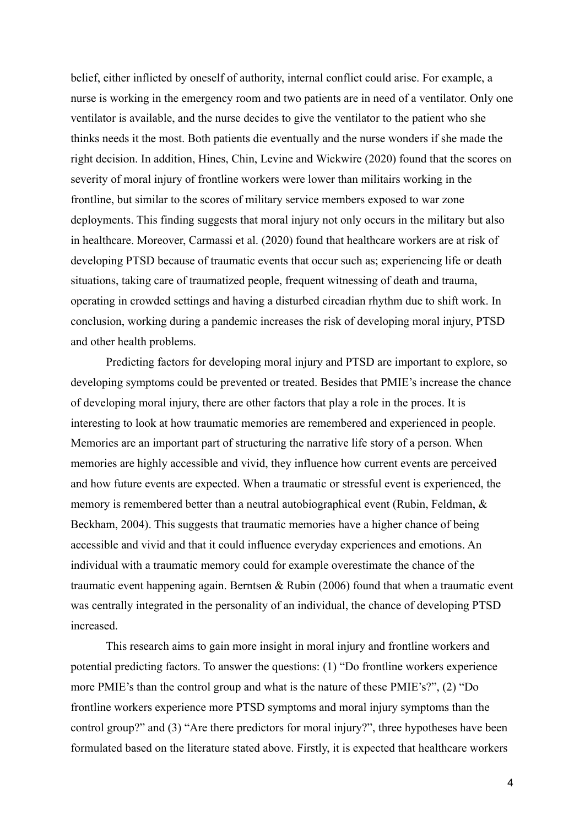belief, either inflicted by oneself of authority, internal conflict could arise. For example, a nurse is working in the emergency room and two patients are in need of a ventilator. Only one ventilator is available, and the nurse decides to give the ventilator to the patient who she thinks needs it the most. Both patients die eventually and the nurse wonders if she made the right decision. In addition, Hines, Chin, Levine and Wickwire (2020) found that the scores on severity of moral injury of frontline workers were lower than militairs working in the frontline, but similar to the scores of military service members exposed to war zone deployments. This finding suggests that moral injury not only occurs in the military but also in healthcare. Moreover, Carmassi et al. (2020) found that healthcare workers are at risk of developing PTSD because of traumatic events that occur such as; experiencing life or death situations, taking care of traumatized people, frequent witnessing of death and trauma, operating in crowded settings and having a disturbed circadian rhythm due to shift work. In conclusion, working during a pandemic increases the risk of developing moral injury, PTSD and other health problems.

Predicting factors for developing moral injury and PTSD are important to explore, so developing symptoms could be prevented or treated. Besides that PMIE's increase the chance of developing moral injury, there are other factors that play a role in the proces. It is interesting to look at how traumatic memories are remembered and experienced in people. Memories are an important part of structuring the narrative life story of a person. When memories are highly accessible and vivid, they influence how current events are perceived and how future events are expected. When a traumatic or stressful event is experienced, the memory is remembered better than a neutral autobiographical event (Rubin, Feldman, & Beckham, 2004). This suggests that traumatic memories have a higher chance of being accessible and vivid and that it could influence everyday experiences and emotions. An individual with a traumatic memory could for example overestimate the chance of the traumatic event happening again. Berntsen & Rubin (2006) found that when a traumatic event was centrally integrated in the personality of an individual, the chance of developing PTSD increased.

This research aims to gain more insight in moral injury and frontline workers and potential predicting factors. To answer the questions: (1) "Do frontline workers experience more PMIE's than the control group and what is the nature of these PMIE's?", (2) "Do frontline workers experience more PTSD symptoms and moral injury symptoms than the control group?" and (3) "Are there predictors for moral injury?", three hypotheses have been formulated based on the literature stated above. Firstly, it is expected that healthcare workers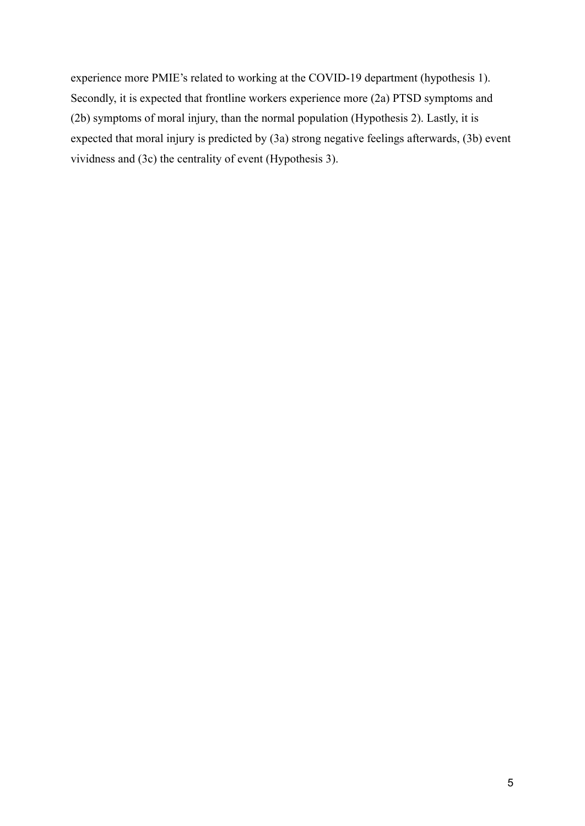experience more PMIE's related to working at the COVID-19 department (hypothesis 1). Secondly, it is expected that frontline workers experience more (2a) PTSD symptoms and (2b) symptoms of moral injury, than the normal population (Hypothesis 2). Lastly, it is expected that moral injury is predicted by (3a) strong negative feelings afterwards, (3b) event vividness and (3c) the centrality of event (Hypothesis 3).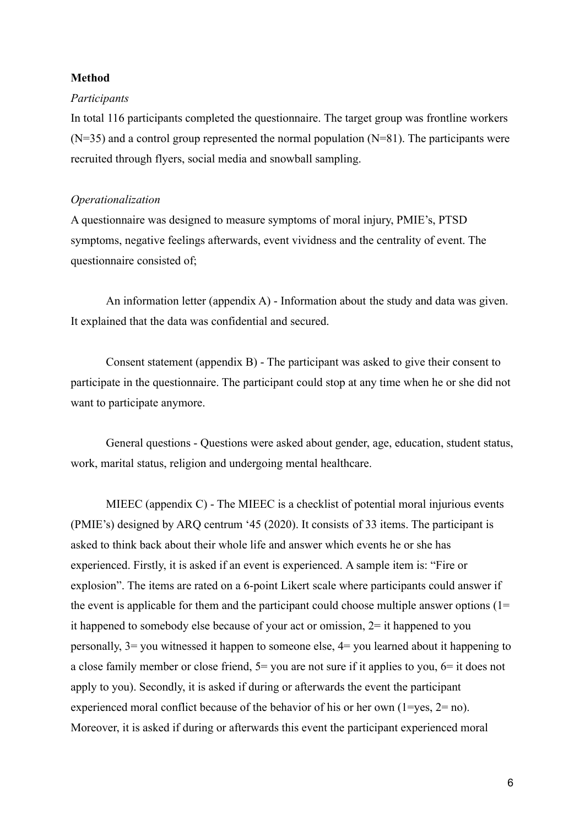#### **Method**

#### *Participants*

In total 116 participants completed the questionnaire. The target group was frontline workers  $(N=35)$  and a control group represented the normal population  $(N=81)$ . The participants were recruited through flyers, social media and snowball sampling.

#### *Operationalization*

A questionnaire was designed to measure symptoms of moral injury, PMIE's, PTSD symptoms, negative feelings afterwards, event vividness and the centrality of event. The questionnaire consisted of;

An information letter (appendix A) - Information about the study and data was given. It explained that the data was confidential and secured.

Consent statement (appendix B) - The participant was asked to give their consent to participate in the questionnaire. The participant could stop at any time when he or she did not want to participate anymore.

General questions - Questions were asked about gender, age, education, student status, work, marital status, religion and undergoing mental healthcare.

MIEEC (appendix C) - The MIEEC is a checklist of potential moral injurious events (PMIE's) designed by ARQ centrum '45 (2020). It consists of 33 items. The participant is asked to think back about their whole life and answer which events he or she has experienced. Firstly, it is asked if an event is experienced. A sample item is: "Fire or explosion". The items are rated on a 6-point Likert scale where participants could answer if the event is applicable for them and the participant could choose multiple answer options  $(1=$ it happened to somebody else because of your act or omission, 2= it happened to you personally, 3= you witnessed it happen to someone else, 4= you learned about it happening to a close family member or close friend, 5= you are not sure if it applies to you, 6= it does not apply to you). Secondly, it is asked if during or afterwards the event the participant experienced moral conflict because of the behavior of his or her own (1=yes, 2= no). Moreover, it is asked if during or afterwards this event the participant experienced moral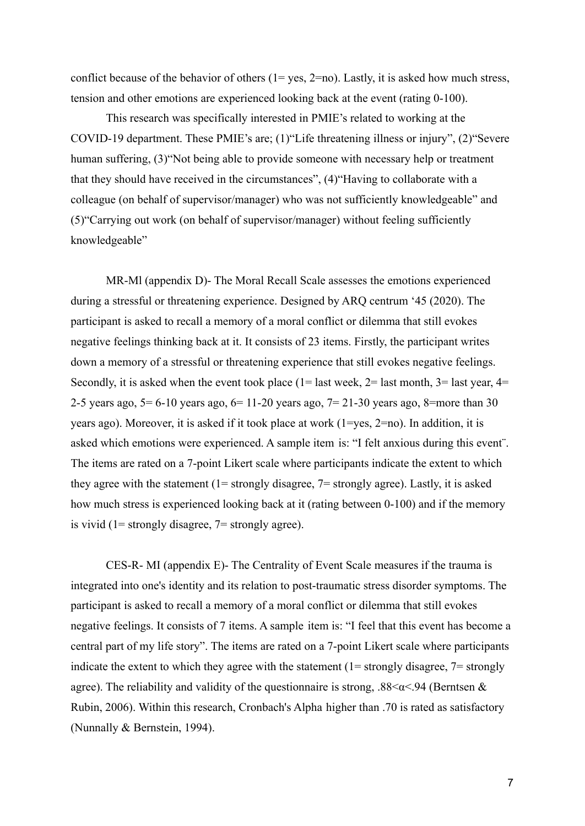conflict because of the behavior of others  $(1 = yes, 2 = no)$ . Lastly, it is asked how much stress, tension and other emotions are experienced looking back at the event (rating 0-100).

This research was specifically interested in PMIE's related to working at the COVID-19 department. These PMIE's are; (1)"Life threatening illness or injury", (2)"Severe human suffering, (3) Not being able to provide someone with necessary help or treatment that they should have received in the circumstances", (4)"Having to collaborate with a colleague (on behalf of supervisor/manager) who was not sufficiently knowledgeable" and (5)"Carrying out work (on behalf of supervisor/manager) without feeling sufficiently knowledgeable"

MR-Ml (appendix D)- The Moral Recall Scale assesses the emotions experienced during a stressful or threatening experience. Designed by ARQ centrum '45 (2020). The participant is asked to recall a memory of a moral conflict or dilemma that still evokes negative feelings thinking back at it. It consists of 23 items. Firstly, the participant writes down a memory of a stressful or threatening experience that still evokes negative feelings. Secondly, it is asked when the event took place ( $1=$  last week,  $2=$  last month,  $3=$  last year,  $4=$ 2-5 years ago, 5= 6-10 years ago, 6= 11-20 years ago, 7= 21-30 years ago, 8=more than 30 years ago). Moreover, it is asked if it took place at work (1=yes, 2=no). In addition, it is asked which emotions were experienced. A sample item is: "I felt anxious during this event¨. The items are rated on a 7-point Likert scale where participants indicate the extent to which they agree with the statement (1= strongly disagree, 7= strongly agree). Lastly, it is asked how much stress is experienced looking back at it (rating between 0-100) and if the memory is vivid (1= strongly disagree, 7= strongly agree).

CES-R- MI (appendix E)- The Centrality of Event Scale measures if the trauma is integrated into one's identity and its relation to post-traumatic stress disorder symptoms. The participant is asked to recall a memory of a moral conflict or dilemma that still evokes negative feelings. It consists of 7 items. A sample item is: "I feel that this event has become a central part of my life story". The items are rated on a 7-point Likert scale where participants indicate the extent to which they agree with the statement  $(1=$  strongly disagree,  $7=$  strongly agree). The reliability and validity of the questionnaire is strong,  $.88<\alpha<.94$  (Berntsen & Rubin, 2006). Within this research, Cronbach's Alpha higher than .70 is rated as satisfactory (Nunnally & Bernstein, 1994).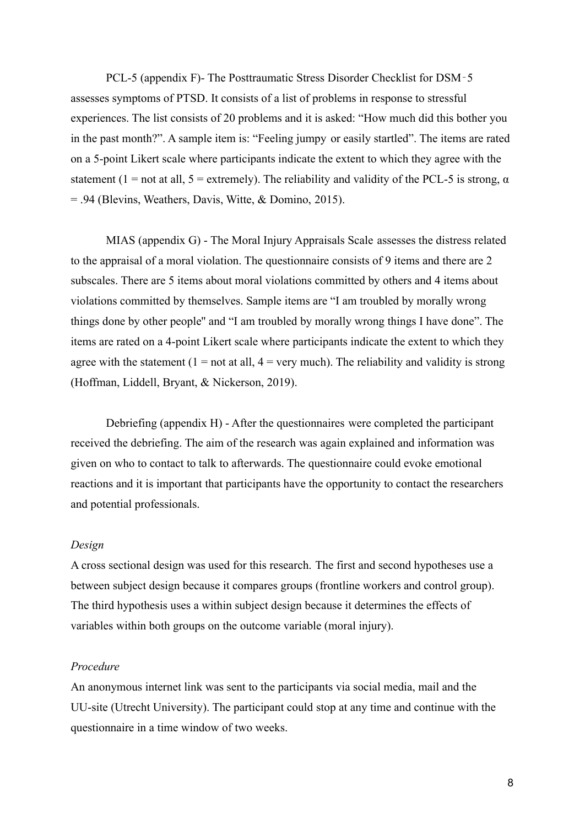PCL-5 (appendix F)- The Posttraumatic Stress Disorder Checklist for DSM‐5 assesses symptoms of PTSD. It consists of a list of problems in response to stressful experiences. The list consists of 20 problems and it is asked: "How much did this bother you in the past month?". A sample item is: "Feeling jumpy or easily startled". The items are rated on a 5-point Likert scale where participants indicate the extent to which they agree with the statement (1 = not at all, 5 = extremely). The reliability and validity of the PCL-5 is strong,  $\alpha$ = .94 (Blevins, Weathers, Davis, Witte, & Domino, 2015).

MIAS (appendix G) - The Moral Injury Appraisals Scale assesses the distress related to the appraisal of a moral violation. The questionnaire consists of 9 items and there are 2 subscales. There are 5 items about moral violations committed by others and 4 items about violations committed by themselves. Sample items are "I am troubled by morally wrong things done by other people'' and "I am troubled by morally wrong things I have done". The items are rated on a 4-point Likert scale where participants indicate the extent to which they agree with the statement  $(1 = not at all, 4 = very much)$ . The reliability and validity is strong (Hoffman, Liddell, Bryant, & Nickerson, 2019).

Debriefing (appendix H) - After the questionnaires were completed the participant received the debriefing. The aim of the research was again explained and information was given on who to contact to talk to afterwards. The questionnaire could evoke emotional reactions and it is important that participants have the opportunity to contact the researchers and potential professionals.

#### *Design*

A cross sectional design was used for this research. The first and second hypotheses use a between subject design because it compares groups (frontline workers and control group). The third hypothesis uses a within subject design because it determines the effects of variables within both groups on the outcome variable (moral injury).

### *Procedure*

An anonymous internet link was sent to the participants via social media, mail and the UU-site (Utrecht University). The participant could stop at any time and continue with the questionnaire in a time window of two weeks.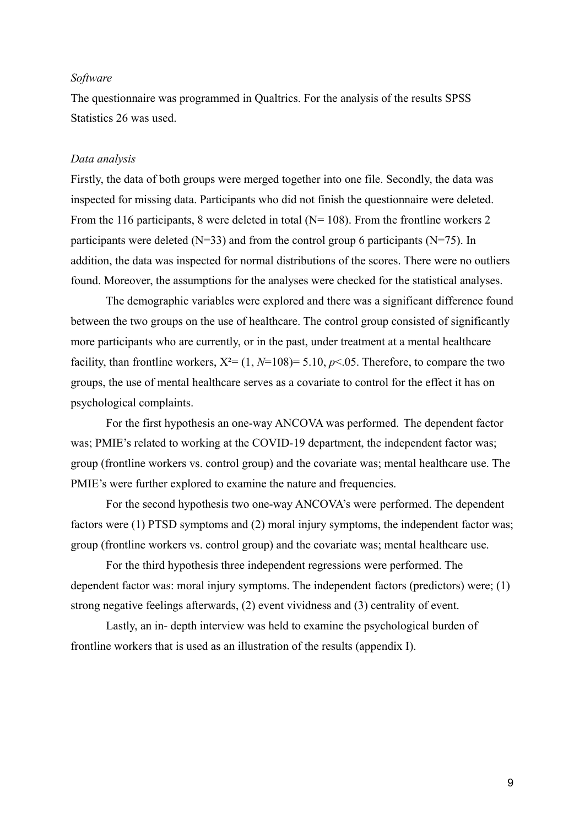#### *Software*

The questionnaire was programmed in Qualtrics. For the analysis of the results SPSS Statistics 26 was used.

#### *Data analysis*

Firstly, the data of both groups were merged together into one file. Secondly, the data was inspected for missing data. Participants who did not finish the questionnaire were deleted. From the 116 participants, 8 were deleted in total (N= 108). From the frontline workers 2 participants were deleted ( $N=33$ ) and from the control group 6 participants ( $N=75$ ). In addition, the data was inspected for normal distributions of the scores. There were no outliers found. Moreover, the assumptions for the analyses were checked for the statistical analyses.

The demographic variables were explored and there was a significant difference found between the two groups on the use of healthcare. The control group consisted of significantly more participants who are currently, or in the past, under treatment at a mental healthcare facility, than frontline workers,  $X^2 = (1, N=108) = 5.10, p<0.05$ . Therefore, to compare the two groups, the use of mental healthcare serves as a covariate to control for the effect it has on psychological complaints.

For the first hypothesis an one-way ANCOVA was performed. The dependent factor was; PMIE's related to working at the COVID-19 department, the independent factor was; group (frontline workers vs. control group) and the covariate was; mental healthcare use. The PMIE's were further explored to examine the nature and frequencies.

For the second hypothesis two one-way ANCOVA's were performed. The dependent factors were (1) PTSD symptoms and (2) moral injury symptoms, the independent factor was; group (frontline workers vs. control group) and the covariate was; mental healthcare use.

For the third hypothesis three independent regressions were performed. The dependent factor was: moral injury symptoms. The independent factors (predictors) were; (1) strong negative feelings afterwards, (2) event vividness and (3) centrality of event.

Lastly, an in- depth interview was held to examine the psychological burden of frontline workers that is used as an illustration of the results (appendix I).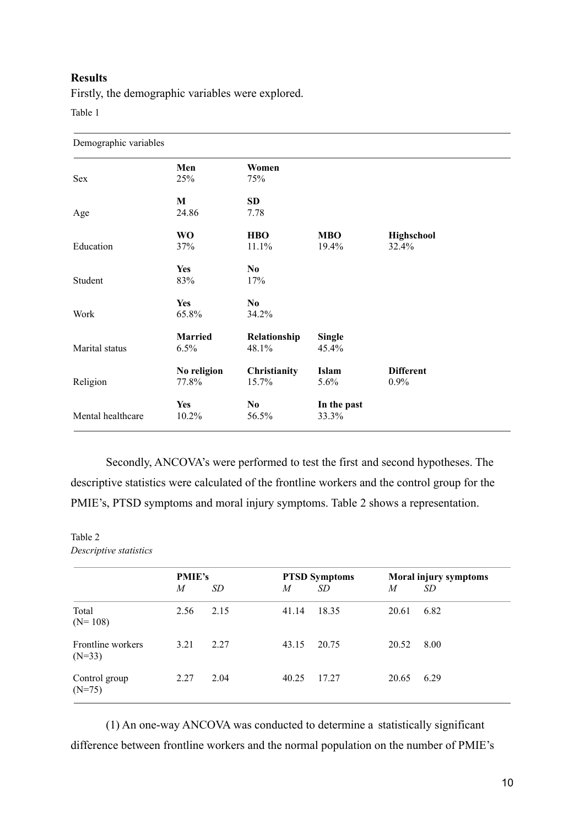### **Results**

Firstly, the demographic variables were explored.

Table 1

| Demographic variables |                        |                         |                        |                          |  |  |  |  |
|-----------------------|------------------------|-------------------------|------------------------|--------------------------|--|--|--|--|
| <b>Sex</b>            | Men<br>25%             | Women<br>75%            |                        |                          |  |  |  |  |
| Age                   | M<br>24.86             | <b>SD</b><br>7.78       |                        |                          |  |  |  |  |
| Education             | <b>WO</b><br>37%       | <b>HBO</b><br>11.1%     | <b>MBO</b><br>19.4%    | Highschool<br>32.4%      |  |  |  |  |
| Student               | <b>Yes</b><br>83%      | N <sub>0</sub><br>17%   |                        |                          |  |  |  |  |
| Work                  | <b>Yes</b><br>65.8%    | N <sub>0</sub><br>34.2% |                        |                          |  |  |  |  |
| Marital status        | <b>Married</b><br>6.5% | Relationship<br>48.1%   | <b>Single</b><br>45.4% |                          |  |  |  |  |
| Religion              | No religion<br>77.8%   | Christianity<br>15.7%   | Islam<br>5.6%          | <b>Different</b><br>0.9% |  |  |  |  |
| Mental healthcare     | <b>Yes</b><br>10.2%    | N <sub>0</sub><br>56.5% | In the past<br>33.3%   |                          |  |  |  |  |

Secondly, ANCOVA's were performed to test the first and second hypotheses. The descriptive statistics were calculated of the frontline workers and the control group for the PMIE's, PTSD symptoms and moral injury symptoms. Table 2 shows a representation.

Table 2 *Descriptive statistics*

|                               | <b>PMIE's</b><br>M | SD   | M     | <b>PTSD Symptoms</b><br>SD | M     | Moral injury symptoms<br>SD |
|-------------------------------|--------------------|------|-------|----------------------------|-------|-----------------------------|
| Total<br>$(N=108)$            | 2.56               | 2.15 | 41.14 | 18.35                      | 20.61 | 6.82                        |
| Frontline workers<br>$(N=33)$ | 3.21               | 2.27 | 43.15 | 20.75                      | 20.52 | 8.00                        |
| Control group<br>$(N=75)$     | 2.27               | 2.04 | 40.25 | 17.27                      | 20.65 | 6.29                        |

(1) An one-way ANCOVA was conducted to determine a statistically significant difference between frontline workers and the normal population on the number of PMIE's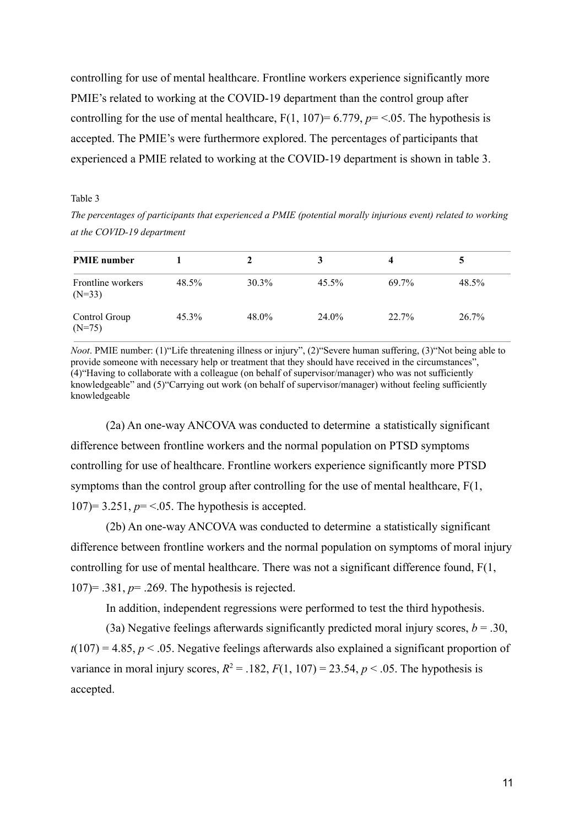controlling for use of mental healthcare. Frontline workers experience significantly more PMIE's related to working at the COVID-19 department than the control group after controlling for the use of mental healthcare,  $F(1, 107)= 6.779$ ,  $p = <.05$ . The hypothesis is accepted. The PMIE's were furthermore explored. The percentages of participants that experienced a PMIE related to working at the COVID-19 department is shown in table 3.

#### Table 3

*The percentages of participants that experienced a PMIE (potential morally injurious event) related to working at the COVID-19 department*

| <b>PMIE</b> number            |       | 2        | 3        | 4     |       |
|-------------------------------|-------|----------|----------|-------|-------|
| Frontline workers<br>$(N=33)$ | 48.5% | $30.3\%$ | $45.5\%$ | 69.7% | 48.5% |
| Control Group<br>$(N=75)$     | 45.3% | 48.0%    | 24.0%    | 22.7% | 26.7% |

*Noot*. PMIE number: (1) "Life threatening illness or injury", (2) "Severe human suffering, (3) "Not being able to provide someone with necessary help or treatment that they should have received in the circumstances", (4)"Having to collaborate with a colleague (on behalf of supervisor/manager) who was not sufficiently knowledgeable" and (5)"Carrying out work (on behalf of supervisor/manager) without feeling sufficiently knowledgeable

(2a) An one-way ANCOVA was conducted to determine a statistically significant difference between frontline workers and the normal population on PTSD symptoms controlling for use of healthcare. Frontline workers experience significantly more PTSD symptoms than the control group after controlling for the use of mental healthcare, F(1,  $107$ = 3.251,  $p$ = <.05. The hypothesis is accepted.

(2b) An one-way ANCOVA was conducted to determine a statistically significant difference between frontline workers and the normal population on symptoms of moral injury controlling for use of mental healthcare. There was not a significant difference found, F(1, 107)= .381, *p*= .269. The hypothesis is rejected.

In addition, independent regressions were performed to test the third hypothesis.

(3a) Negative feelings afterwards significantly predicted moral injury scores,  $b = .30$ ,  $t(107) = 4.85$ ,  $p < .05$ . Negative feelings afterwards also explained a significant proportion of variance in moral injury scores,  $R^2 = .182$ ,  $F(1, 107) = 23.54$ ,  $p < .05$ . The hypothesis is accepted.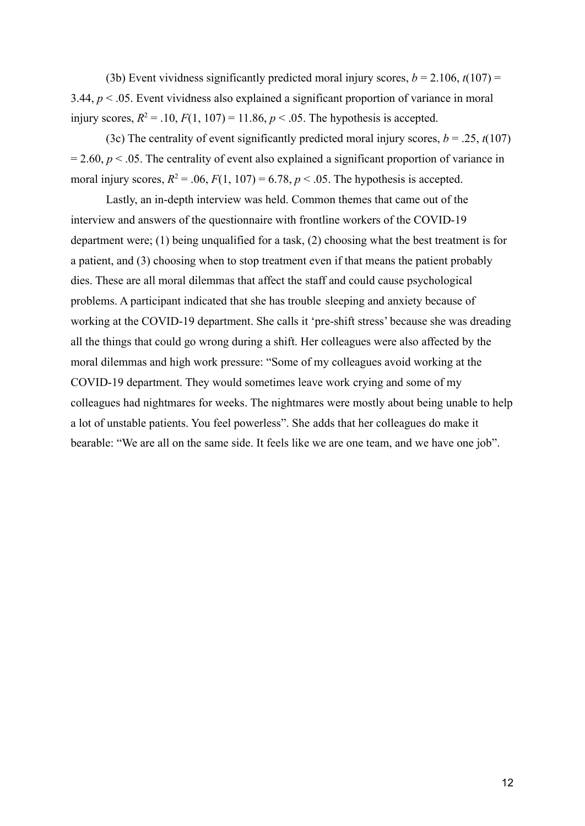(3b) Event vividness significantly predicted moral injury scores,  $b = 2.106$ ,  $t(107) =$ 3.44, *p* < .05. Event vividness also explained a significant proportion of variance in moral injury scores,  $R^2 = .10$ ,  $F(1, 107) = 11.86$ ,  $p < .05$ . The hypothesis is accepted.

(3c) The centrality of event significantly predicted moral injury scores,  $b = .25$ ,  $t(107)$  $= 2.60$ ,  $p < .05$ . The centrality of event also explained a significant proportion of variance in moral injury scores,  $R^2 = .06$ ,  $F(1, 107) = 6.78$ ,  $p < .05$ . The hypothesis is accepted.

Lastly, an in-depth interview was held. Common themes that came out of the interview and answers of the questionnaire with frontline workers of the COVID-19 department were; (1) being unqualified for a task, (2) choosing what the best treatment is for a patient, and (3) choosing when to stop treatment even if that means the patient probably dies. These are all moral dilemmas that affect the staff and could cause psychological problems. A participant indicated that she has trouble sleeping and anxiety because of working at the COVID-19 department. She calls it 'pre-shift stress' because she was dreading all the things that could go wrong during a shift. Her colleagues were also affected by the moral dilemmas and high work pressure: "Some of my colleagues avoid working at the COVID-19 department. They would sometimes leave work crying and some of my colleagues had nightmares for weeks. The nightmares were mostly about being unable to help a lot of unstable patients. You feel powerless". She adds that her colleagues do make it bearable: "We are all on the same side. It feels like we are one team, and we have one job".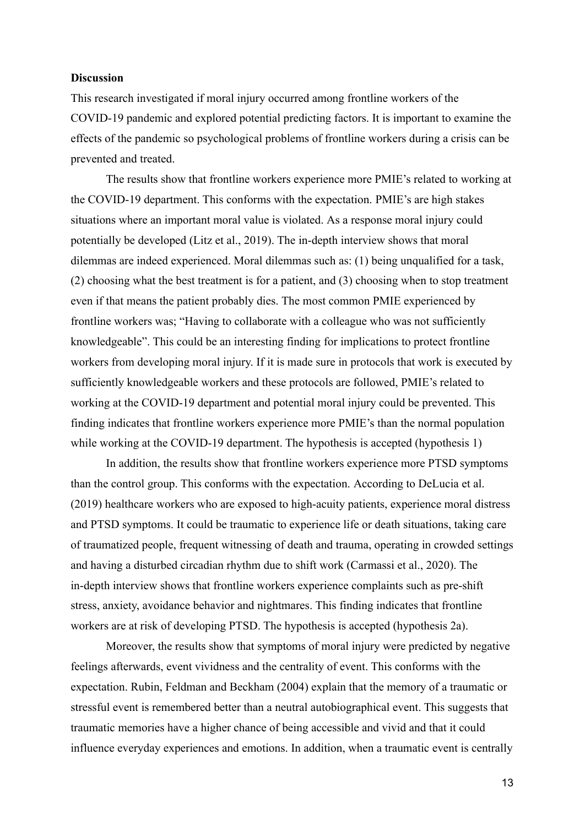#### **Discussion**

This research investigated if moral injury occurred among frontline workers of the COVID-19 pandemic and explored potential predicting factors. It is important to examine the effects of the pandemic so psychological problems of frontline workers during a crisis can be prevented and treated.

The results show that frontline workers experience more PMIE's related to working at the COVID-19 department. This conforms with the expectation. PMIE's are high stakes situations where an important moral value is violated. As a response moral injury could potentially be developed (Litz et al., 2019). The in-depth interview shows that moral dilemmas are indeed experienced. Moral dilemmas such as: (1) being unqualified for a task, (2) choosing what the best treatment is for a patient, and (3) choosing when to stop treatment even if that means the patient probably dies. The most common PMIE experienced by frontline workers was; "Having to collaborate with a colleague who was not sufficiently knowledgeable". This could be an interesting finding for implications to protect frontline workers from developing moral injury. If it is made sure in protocols that work is executed by sufficiently knowledgeable workers and these protocols are followed, PMIE's related to working at the COVID-19 department and potential moral injury could be prevented. This finding indicates that frontline workers experience more PMIE's than the normal population while working at the COVID-19 department. The hypothesis is accepted (hypothesis 1)

In addition, the results show that frontline workers experience more PTSD symptoms than the control group. This conforms with the expectation. According to DeLucia et al. (2019) healthcare workers who are exposed to high-acuity patients, experience moral distress and PTSD symptoms. It could be traumatic to experience life or death situations, taking care of traumatized people, frequent witnessing of death and trauma, operating in crowded settings and having a disturbed circadian rhythm due to shift work (Carmassi et al., 2020). The in-depth interview shows that frontline workers experience complaints such as pre-shift stress, anxiety, avoidance behavior and nightmares. This finding indicates that frontline workers are at risk of developing PTSD. The hypothesis is accepted (hypothesis 2a).

Moreover, the results show that symptoms of moral injury were predicted by negative feelings afterwards, event vividness and the centrality of event. This conforms with the expectation. Rubin, Feldman and Beckham (2004) explain that the memory of a traumatic or stressful event is remembered better than a neutral autobiographical event. This suggests that traumatic memories have a higher chance of being accessible and vivid and that it could influence everyday experiences and emotions. In addition, when a traumatic event is centrally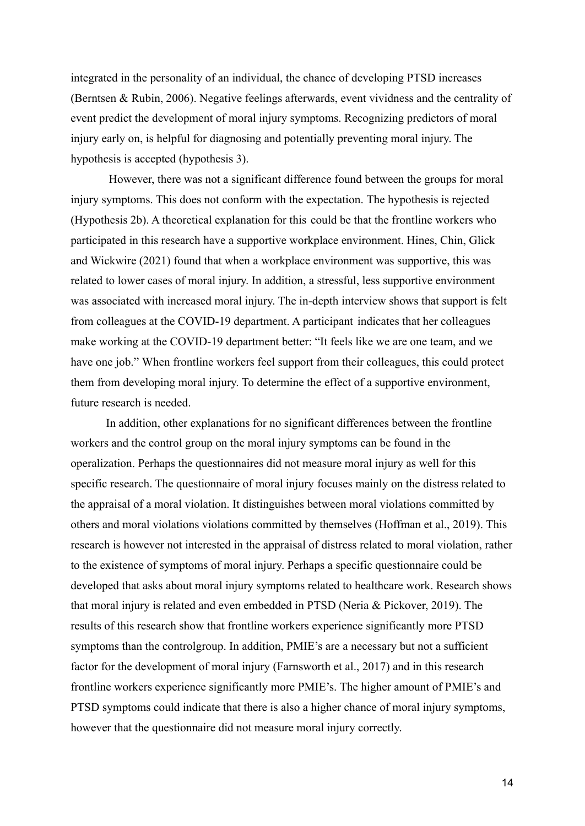integrated in the personality of an individual, the chance of developing PTSD increases (Berntsen & Rubin, 2006). Negative feelings afterwards, event vividness and the centrality of event predict the development of moral injury symptoms. Recognizing predictors of moral injury early on, is helpful for diagnosing and potentially preventing moral injury. The hypothesis is accepted (hypothesis 3).

However, there was not a significant difference found between the groups for moral injury symptoms. This does not conform with the expectation. The hypothesis is rejected (Hypothesis 2b). A theoretical explanation for this could be that the frontline workers who participated in this research have a supportive workplace environment. Hines, Chin, Glick and Wickwire (2021) found that when a workplace environment was supportive, this was related to lower cases of moral injury. In addition, a stressful, less supportive environment was associated with increased moral injury. The in-depth interview shows that support is felt from colleagues at the COVID-19 department. A participant indicates that her colleagues make working at the COVID-19 department better: "It feels like we are one team, and we have one job." When frontline workers feel support from their colleagues, this could protect them from developing moral injury. To determine the effect of a supportive environment, future research is needed.

In addition, other explanations for no significant differences between the frontline workers and the control group on the moral injury symptoms can be found in the operalization. Perhaps the questionnaires did not measure moral injury as well for this specific research. The questionnaire of moral injury focuses mainly on the distress related to the appraisal of a moral violation. It distinguishes between moral violations committed by others and moral violations violations committed by themselves (Hoffman et al., 2019). This research is however not interested in the appraisal of distress related to moral violation, rather to the existence of symptoms of moral injury. Perhaps a specific questionnaire could be developed that asks about moral injury symptoms related to healthcare work. Research shows that moral injury is related and even embedded in PTSD (Neria & Pickover, 2019). The results of this research show that frontline workers experience significantly more PTSD symptoms than the controlgroup. In addition, PMIE's are a necessary but not a sufficient factor for the development of moral injury (Farnsworth et al., 2017) and in this research frontline workers experience significantly more PMIE's. The higher amount of PMIE's and PTSD symptoms could indicate that there is also a higher chance of moral injury symptoms, however that the questionnaire did not measure moral injury correctly.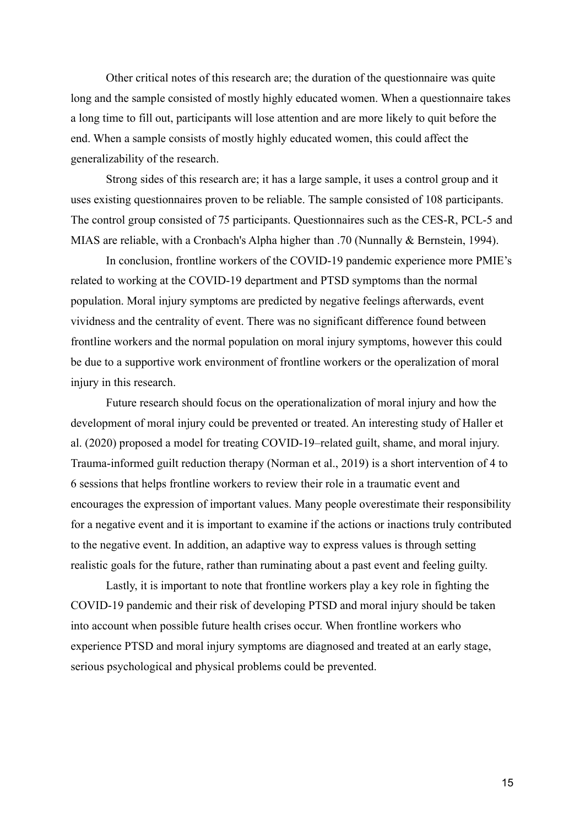Other critical notes of this research are; the duration of the questionnaire was quite long and the sample consisted of mostly highly educated women. When a questionnaire takes a long time to fill out, participants will lose attention and are more likely to quit before the end. When a sample consists of mostly highly educated women, this could affect the generalizability of the research.

Strong sides of this research are; it has a large sample, it uses a control group and it uses existing questionnaires proven to be reliable. The sample consisted of 108 participants. The control group consisted of 75 participants. Questionnaires such as the CES-R, PCL-5 and MIAS are reliable, with a Cronbach's Alpha higher than .70 (Nunnally & Bernstein, 1994).

In conclusion, frontline workers of the COVID-19 pandemic experience more PMIE's related to working at the COVID-19 department and PTSD symptoms than the normal population. Moral injury symptoms are predicted by negative feelings afterwards, event vividness and the centrality of event. There was no significant difference found between frontline workers and the normal population on moral injury symptoms, however this could be due to a supportive work environment of frontline workers or the operalization of moral injury in this research.

Future research should focus on the operationalization of moral injury and how the development of moral injury could be prevented or treated. An interesting study of Haller et al. (2020) proposed a model for treating COVID-19–related guilt, shame, and moral injury. Trauma-informed guilt reduction therapy (Norman et al., 2019) is a short intervention of 4 to 6 sessions that helps frontline workers to review their role in a traumatic event and encourages the expression of important values. Many people overestimate their responsibility for a negative event and it is important to examine if the actions or inactions truly contributed to the negative event. In addition, an adaptive way to express values is through setting realistic goals for the future, rather than ruminating about a past event and feeling guilty.

Lastly, it is important to note that frontline workers play a key role in fighting the COVID-19 pandemic and their risk of developing PTSD and moral injury should be taken into account when possible future health crises occur. When frontline workers who experience PTSD and moral injury symptoms are diagnosed and treated at an early stage, serious psychological and physical problems could be prevented.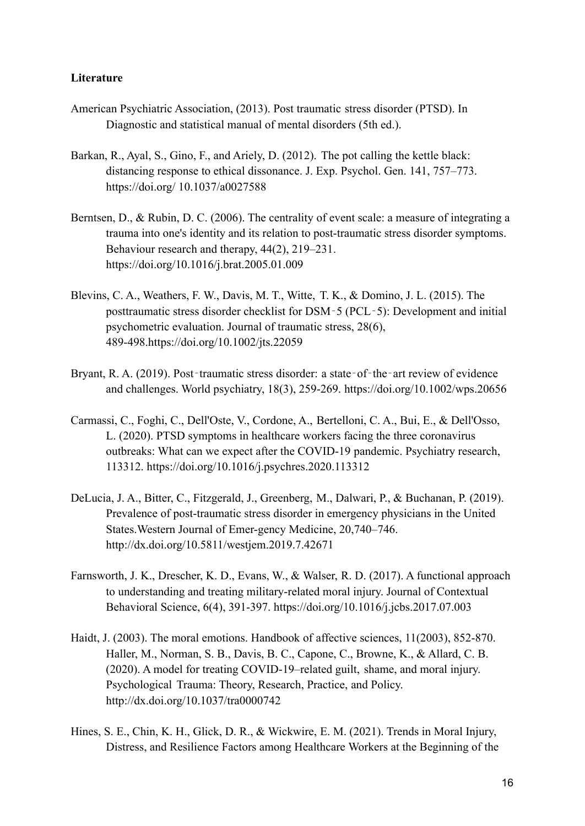# **Literature**

- American Psychiatric Association, (2013). Post traumatic stress disorder (PTSD). In Diagnostic and statistical manual of mental disorders (5th ed.).
- Barkan, R., Ayal, S., Gino, F., and Ariely, D. (2012). The pot calling the kettle black: distancing response to ethical dissonance. J. Exp. Psychol. Gen. 141, 757–773. https://doi.org/ 10.1037/a0027588
- Berntsen, D., & Rubin, D. C. (2006). The centrality of event scale: a measure of integrating a trauma into one's identity and its relation to post-traumatic stress disorder symptoms. Behaviour research and therapy, 44(2), 219–231. https://doi.org/10.1016/j.brat.2005.01.009
- Blevins, C. A., Weathers, F. W., Davis, M. T., Witte, T. K., & Domino, J. L. (2015). The posttraumatic stress disorder checklist for DSM‐5 (PCL‐5): Development and initial psychometric evaluation. Journal of traumatic stress, 28(6), 489-498.https://doi.org/10.1002/jts.22059
- Bryant, R. A. (2019). Post-traumatic stress disorder: a state-of-the-art review of evidence and challenges. World psychiatry, 18(3), 259-269. https://doi.org/10.1002/wps.20656
- Carmassi, C., Foghi, C., Dell'Oste, V., Cordone, A., Bertelloni, C. A., Bui, E., & Dell'Osso, L. (2020). PTSD symptoms in healthcare workers facing the three coronavirus outbreaks: What can we expect after the COVID-19 pandemic. Psychiatry research, 113312. https://doi.org/10.1016/j.psychres.2020.113312
- DeLucia, J. A., Bitter, C., Fitzgerald, J., Greenberg, M., Dalwari, P., & Buchanan, P. (2019). Prevalence of post-traumatic stress disorder in emergency physicians in the United States.Western Journal of Emer-gency Medicine, 20,740–746. http://dx.doi.org/10.5811/westjem.2019.7.42671
- Farnsworth, J. K., Drescher, K. D., Evans, W., & Walser, R. D. (2017). A functional approach to understanding and treating military-related moral injury. Journal of Contextual Behavioral Science, 6(4), 391-397. https://doi.org/10.1016/j.jcbs.2017.07.003
- Haidt, J. (2003). The moral emotions. Handbook of affective sciences, 11(2003), 852-870. Haller, M., Norman, S. B., Davis, B. C., Capone, C., Browne, K., & Allard, C. B. (2020). A model for treating COVID-19–related guilt, shame, and moral injury. Psychological Trauma: Theory, Research, Practice, and Policy. http://dx.doi.org/10.1037/tra0000742
- Hines, S. E., Chin, K. H., Glick, D. R., & Wickwire, E. M. (2021). Trends in Moral Injury, Distress, and Resilience Factors among Healthcare Workers at the Beginning of the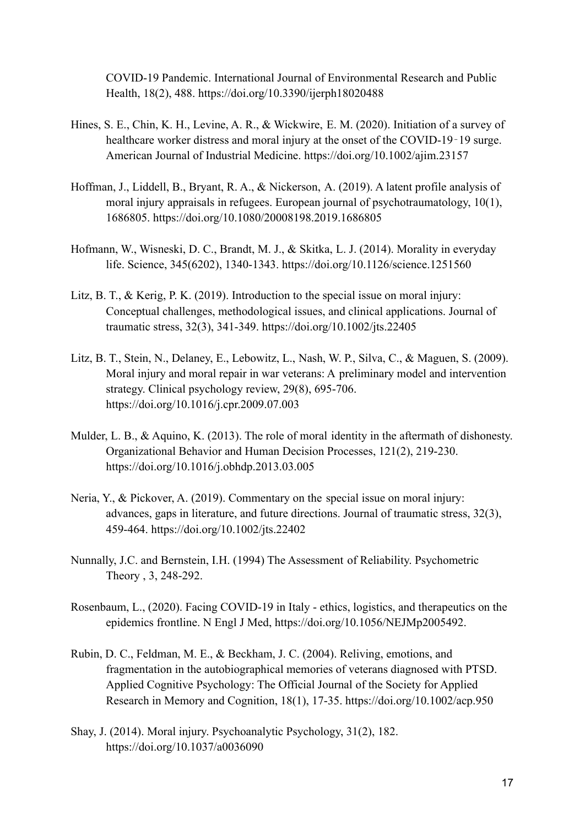COVID-19 Pandemic. International Journal of Environmental Research and Public Health, 18(2), 488. https://doi.org/10.3390/ijerph18020488

- Hines, S. E., Chin, K. H., Levine, A. R., & Wickwire, E. M. (2020). Initiation of a survey of healthcare worker distress and moral injury at the onset of the COVID-19-19 surge. American Journal of Industrial Medicine. https://doi.org/10.1002/ajim.23157
- Hoffman, J., Liddell, B., Bryant, R. A., & Nickerson, A. (2019). A latent profile analysis of moral injury appraisals in refugees. European journal of psychotraumatology, 10(1), 1686805. https://doi.org/10.1080/20008198.2019.1686805
- Hofmann, W., Wisneski, D. C., Brandt, M. J., & Skitka, L. J. (2014). Morality in everyday life. Science, 345(6202), 1340-1343. https://doi.org/10.1126/science.1251560
- Litz, B. T., & Kerig, P. K. (2019). Introduction to the special issue on moral injury: Conceptual challenges, methodological issues, and clinical applications. Journal of traumatic stress, 32(3), 341-349. https://doi.org/10.1002/jts.22405
- Litz, B. T., Stein, N., Delaney, E., Lebowitz, L., Nash, W. P., Silva, C., & Maguen, S. (2009). Moral injury and moral repair in war veterans: A preliminary model and intervention strategy. Clinical psychology review, 29(8), 695-706. https://doi.org/10.1016/j.cpr.2009.07.003
- Mulder, L. B., & Aquino, K. (2013). The role of moral identity in the aftermath of dishonesty. Organizational Behavior and Human Decision Processes, 121(2), 219-230. https://doi.org/10.1016/j.obhdp.2013.03.005
- Neria, Y., & Pickover, A. (2019). Commentary on the special issue on moral injury: advances, gaps in literature, and future directions. Journal of traumatic stress, 32(3), 459-464. https://doi.org/10.1002/jts.22402
- Nunnally, J.C. and Bernstein, I.H. (1994) The Assessment of Reliability. Psychometric Theory , 3, 248-292.
- Rosenbaum, L., (2020). Facing COVID-19 in Italy ethics, logistics, and therapeutics on the epidemics frontline. N Engl J Med, https://doi.org/10.1056/NEJMp2005492.
- Rubin, D. C., Feldman, M. E., & Beckham, J. C. (2004). Reliving, emotions, and fragmentation in the autobiographical memories of veterans diagnosed with PTSD. Applied Cognitive Psychology: The Official Journal of the Society for Applied Research in Memory and Cognition, 18(1), 17-35. https://doi.org/10.1002/acp.950
- Shay, J. (2014). Moral injury. Psychoanalytic Psychology, 31(2), 182. https://doi.org/10.1037/a0036090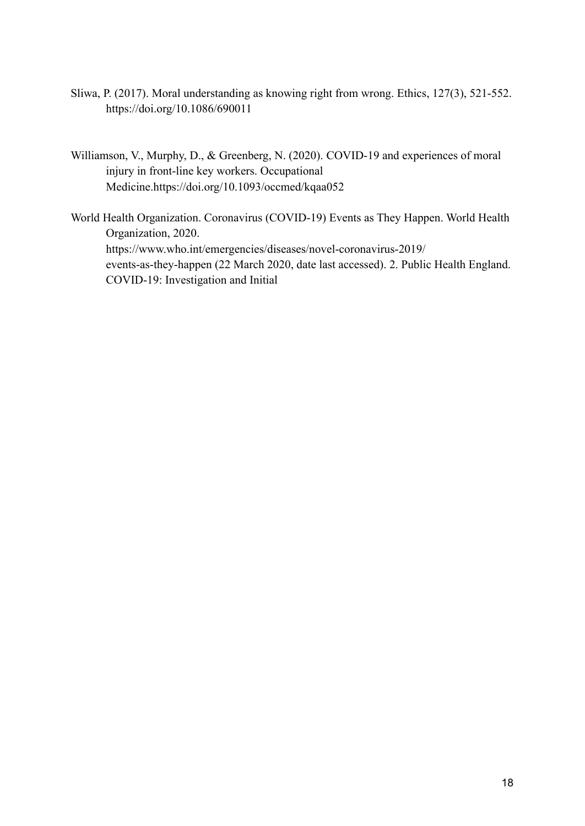- Sliwa, P. (2017). Moral understanding as knowing right from wrong. Ethics, 127(3), 521-552. https://doi.org/10.1086/690011
- Williamson, V., Murphy, D., & Greenberg, N. (2020). COVID-19 and experiences of moral injury in front-line key workers. Occupational Medicine.https://doi.org/10.1093/occmed/kqaa052
- World Health Organization. Coronavirus (COVID-19) Events as They Happen. World Health Organization, 2020. https://www.who.int/emergencies/diseases/novel-coronavirus-2019/ events-as-they-happen (22 March 2020, date last accessed). 2. Public Health England. COVID-19: Investigation and Initial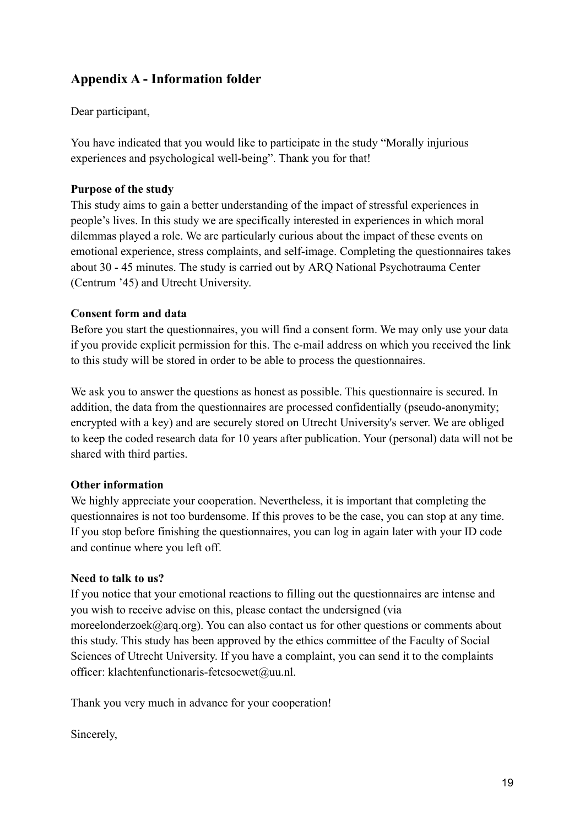# **Appendix A - Information folder**

Dear participant,

You have indicated that you would like to participate in the study "Morally injurious experiences and psychological well-being". Thank you for that!

# **Purpose of the study**

This study aims to gain a better understanding of the impact of stressful experiences in people's lives. In this study we are specifically interested in experiences in which moral dilemmas played a role. We are particularly curious about the impact of these events on emotional experience, stress complaints, and self-image. Completing the questionnaires takes about 30 - 45 minutes. The study is carried out by ARQ National Psychotrauma Center (Centrum '45) and Utrecht University.

# **Consent form and data**

Before you start the questionnaires, you will find a consent form. We may only use your data if you provide explicit permission for this. The e-mail address on which you received the link to this study will be stored in order to be able to process the questionnaires.

We ask you to answer the questions as honest as possible. This questionnaire is secured. In addition, the data from the questionnaires are processed confidentially (pseudo-anonymity; encrypted with a key) and are securely stored on Utrecht University's server. We are obliged to keep the coded research data for 10 years after publication. Your (personal) data will not be shared with third parties.

# **Other information**

We highly appreciate your cooperation. Nevertheless, it is important that completing the questionnaires is not too burdensome. If this proves to be the case, you can stop at any time. If you stop before finishing the questionnaires, you can log in again later with your ID code and continue where you left off.

# **Need to talk to us?**

If you notice that your emotional reactions to filling out the questionnaires are intense and you wish to receive advise on this, please contact the undersigned (via moreelonderzoek@arq.org). You can also contact us for other questions or comments about this study. This study has been approved by the ethics committee of the Faculty of Social Sciences of Utrecht University. If you have a complaint, you can send it to the complaints officer: klachtenfunctionaris-fetcsocwet@uu.nl.

Thank you very much in advance for your cooperation!

Sincerely,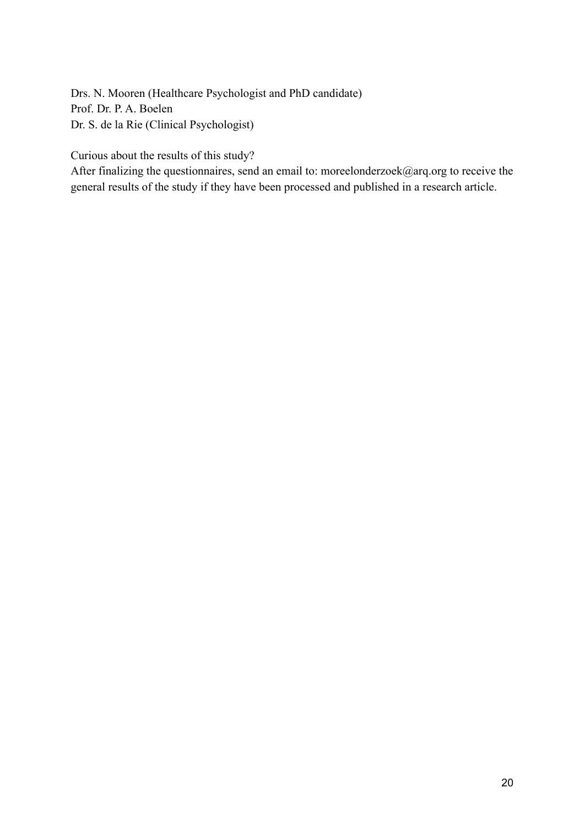Drs. N. Mooren (Healthcare Psychologist and PhD candidate) Prof. Dr. P. A. Boelen Dr. S. de la Rie (Clinical Psychologist)

Curious about the results of this study?

After finalizing the questionnaires, send an email to: moreelonderzoek@arq.org to receive the general results of the study if they have been processed and published in a research article.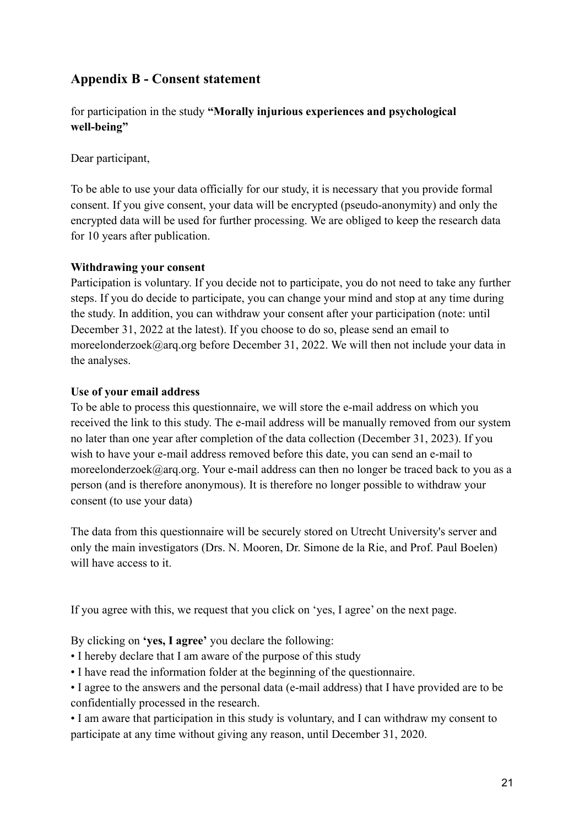# **Appendix B - Consent statement**

for participation in the study **"Morally injurious experiences and psychological well-being"**

Dear participant,

To be able to use your data officially for our study, it is necessary that you provide formal consent. If you give consent, your data will be encrypted (pseudo-anonymity) and only the encrypted data will be used for further processing. We are obliged to keep the research data for 10 years after publication.

# **Withdrawing your consent**

Participation is voluntary. If you decide not to participate, you do not need to take any further steps. If you do decide to participate, you can change your mind and stop at any time during the study. In addition, you can withdraw your consent after your participation (note: until December 31, 2022 at the latest). If you choose to do so, please send an email to moreelonderzoek@arq.org before December 31, 2022. We will then not include your data in the analyses.

# **Use of your email address**

To be able to process this questionnaire, we will store the e-mail address on which you received the link to this study. The e-mail address will be manually removed from our system no later than one year after completion of the data collection (December 31, 2023). If you wish to have your e-mail address removed before this date, you can send an e-mail to moreelonderzoek@arq.org. Your e-mail address can then no longer be traced back to you as a person (and is therefore anonymous). It is therefore no longer possible to withdraw your consent (to use your data)

The data from this questionnaire will be securely stored on Utrecht University's server and only the main investigators (Drs. N. Mooren, Dr. Simone de la Rie, and Prof. Paul Boelen) will have access to it.

If you agree with this, we request that you click on 'yes, I agree' on the next page.

By clicking on **'yes, I agree'** you declare the following:

- I hereby declare that I am aware of the purpose of this study
- I have read the information folder at the beginning of the questionnaire.
- I agree to the answers and the personal data (e-mail address) that I have provided are to be confidentially processed in the research.

• I am aware that participation in this study is voluntary, and I can withdraw my consent to participate at any time without giving any reason, until December 31, 2020.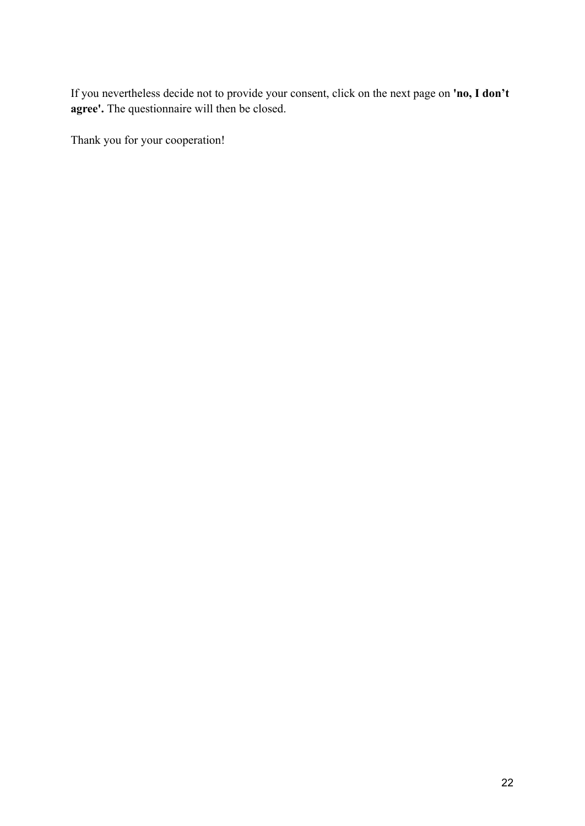If you nevertheless decide not to provide your consent, click on the next page on **'no, I don't agree'.** The questionnaire will then be closed.

Thank you for your cooperation!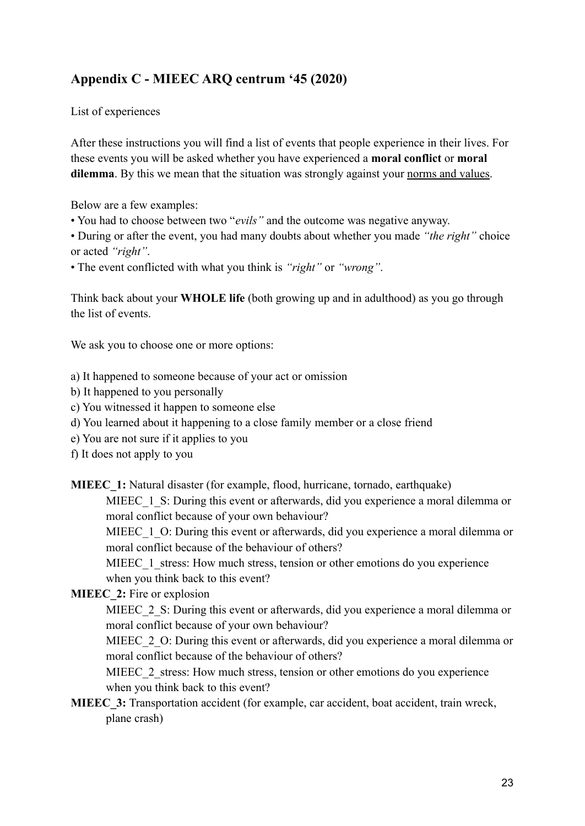# **Appendix C - MIEEC ARQ centrum '45 (2020)**

List of experiences

After these instructions you will find a list of events that people experience in their lives. For these events you will be asked whether you have experienced a **moral conflict** or **moral** dilemma. By this we mean that the situation was strongly against your norms and values.

Below are a few examples:

• You had to choose between two "*evils"* and the outcome was negative anyway.

• During or after the event, you had many doubts about whether you made *"the right"* choice or acted *"right"*.

• The event conflicted with what you think is *"right"* or *"wrong"*.

Think back about your **WHOLE life** (both growing up and in adulthood) as you go through the list of events.

We ask you to choose one or more options:

- a) It happened to someone because of your act or omission
- b) It happened to you personally
- c) You witnessed it happen to someone else
- d) You learned about it happening to a close family member or a close friend
- e) You are not sure if it applies to you
- f) It does not apply to you
- **MIEEC** 1: Natural disaster (for example, flood, hurricane, tornado, earthquake)

MIEEC 1 S: During this event or afterwards, did you experience a moral dilemma or moral conflict because of your own behaviour?

MIEEC 1 O: During this event or afterwards, did you experience a moral dilemma or moral conflict because of the behaviour of others?

MIEEC 1 stress: How much stress, tension or other emotions do you experience when you think back to this event?

**MIEEC** 2: Fire or explosion

MIEEC 2 S: During this event or afterwards, did you experience a moral dilemma or moral conflict because of your own behaviour?

MIEEC 2 O: During this event or afterwards, did you experience a moral dilemma or moral conflict because of the behaviour of others?

MIEEC 2 stress: How much stress, tension or other emotions do you experience when you think back to this event?

**MIEEC** 3: Transportation accident (for example, car accident, boat accident, train wreck, plane crash)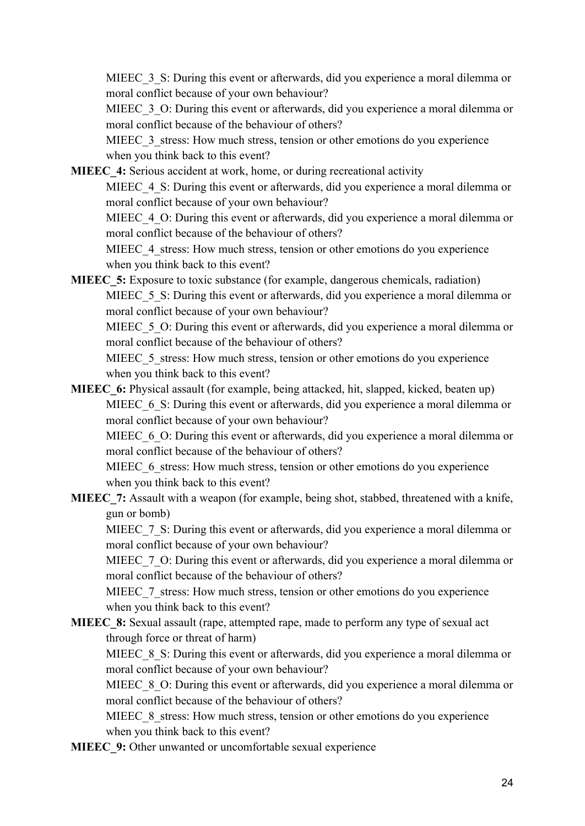MIEEC 3 S: During this event or afterwards, did you experience a moral dilemma or moral conflict because of your own behaviour?

MIEEC 3 O: During this event or afterwards, did you experience a moral dilemma or moral conflict because of the behaviour of others?

MIEEC 3 stress: How much stress, tension or other emotions do you experience when you think back to this event?

**MIEEC** 4: Serious accident at work, home, or during recreational activity

MIEEC 4 S: During this event or afterwards, did you experience a moral dilemma or moral conflict because of your own behaviour?

MIEEC 4 O: During this event or afterwards, did you experience a moral dilemma or moral conflict because of the behaviour of others?

MIEEC 4 stress: How much stress, tension or other emotions do you experience when you think back to this event?

**MIEEC** 5: Exposure to toxic substance (for example, dangerous chemicals, radiation) MIEEC 5 S: During this event or afterwards, did you experience a moral dilemma or moral conflict because of your own behaviour?

MIEEC 5 O: During this event or afterwards, did you experience a moral dilemma or moral conflict because of the behaviour of others?

MIEEC 5 stress: How much stress, tension or other emotions do you experience when you think back to this event?

**MIEEC** 6: Physical assault (for example, being attacked, hit, slapped, kicked, beaten up) MIEEC 6 S: During this event or afterwards, did you experience a moral dilemma or moral conflict because of your own behaviour?

MIEEC 6 O: During this event or afterwards, did you experience a moral dilemma or moral conflict because of the behaviour of others?

MIEEC 6 stress: How much stress, tension or other emotions do you experience when you think back to this event?

**MIEEC** 7: Assault with a weapon (for example, being shot, stabbed, threatened with a knife, gun or bomb)

MIEEC\_7\_S: During this event or afterwards, did you experience a moral dilemma or moral conflict because of your own behaviour?

MIEEC 7 O: During this event or afterwards, did you experience a moral dilemma or moral conflict because of the behaviour of others?

MIEEC 7 stress: How much stress, tension or other emotions do you experience when you think back to this event?

**MIEEC 8:** Sexual assault (rape, attempted rape, made to perform any type of sexual act through force or threat of harm)

MIEEC 8 S: During this event or afterwards, did you experience a moral dilemma or moral conflict because of your own behaviour?

MIEEC 8 O: During this event or afterwards, did you experience a moral dilemma or moral conflict because of the behaviour of others?

MIEEC 8 stress: How much stress, tension or other emotions do you experience when you think back to this event?

**MIEEC** 9: Other unwanted or uncomfortable sexual experience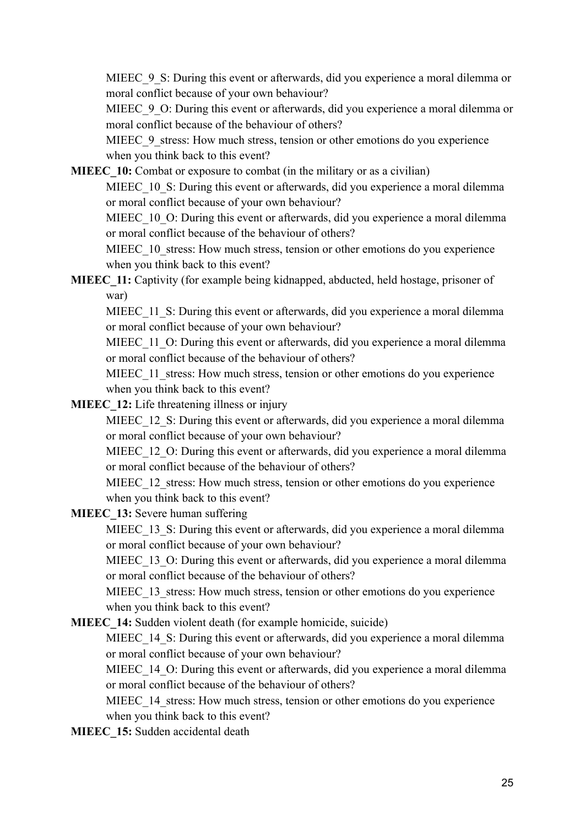MIEEC 9 S: During this event or afterwards, did you experience a moral dilemma or moral conflict because of your own behaviour?

MIEEC 9 O: During this event or afterwards, did you experience a moral dilemma or moral conflict because of the behaviour of others?

MIEEC 9 stress: How much stress, tension or other emotions do you experience when you think back to this event?

**MIEEC** 10: Combat or exposure to combat (in the military or as a civilian)

MIEEC 10 S: During this event or afterwards, did you experience a moral dilemma or moral conflict because of your own behaviour?

MIEEC 10 O: During this event or afterwards, did you experience a moral dilemma or moral conflict because of the behaviour of others?

MIEEC 10 stress: How much stress, tension or other emotions do you experience when you think back to this event?

# **MIEEC** 11: Captivity (for example being kidnapped, abducted, held hostage, prisoner of war)

MIEEC 11 S: During this event or afterwards, did you experience a moral dilemma or moral conflict because of your own behaviour?

MIEEC 11 O: During this event or afterwards, did you experience a moral dilemma or moral conflict because of the behaviour of others?

MIEEC 11 stress: How much stress, tension or other emotions do you experience when you think back to this event?

**MIEEC** 12: Life threatening illness or injury

MIEEC 12 S: During this event or afterwards, did you experience a moral dilemma or moral conflict because of your own behaviour?

MIEEC 12 O: During this event or afterwards, did you experience a moral dilemma or moral conflict because of the behaviour of others?

MIEEC 12 stress: How much stress, tension or other emotions do you experience when you think back to this event?

**MIEEC\_13:** Severe human suffering

MIEEC 13 S: During this event or afterwards, did you experience a moral dilemma or moral conflict because of your own behaviour?

MIEEC 13 O: During this event or afterwards, did you experience a moral dilemma or moral conflict because of the behaviour of others?

MIEEC 13 stress: How much stress, tension or other emotions do you experience when you think back to this event?

**MIEEC\_14:** Sudden violent death (for example homicide, suicide)

MIEEC 14 S: During this event or afterwards, did you experience a moral dilemma or moral conflict because of your own behaviour?

MIEEC 14 O: During this event or afterwards, did you experience a moral dilemma or moral conflict because of the behaviour of others?

MIEEC 14 stress: How much stress, tension or other emotions do you experience when you think back to this event?

**MIEEC** 15: Sudden accidental death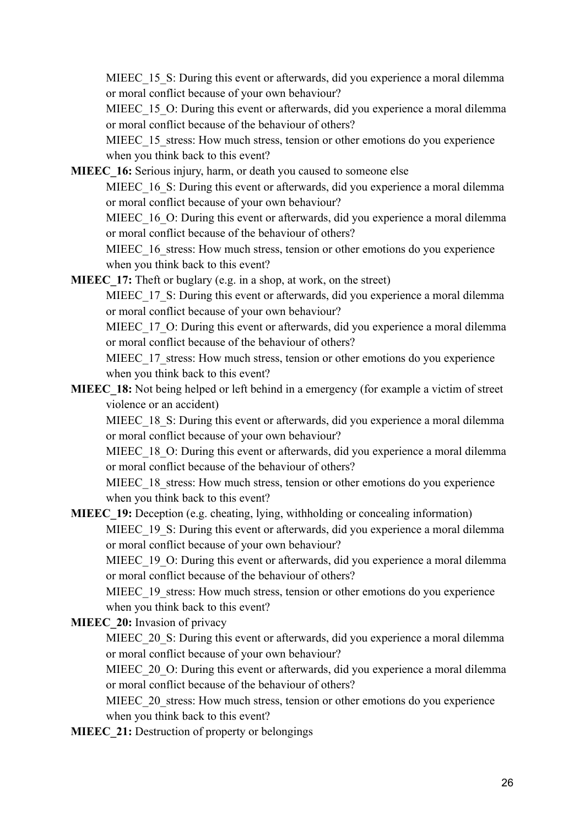MIEEC 15 S: During this event or afterwards, did you experience a moral dilemma or moral conflict because of your own behaviour?

MIEEC 15 O: During this event or afterwards, did you experience a moral dilemma or moral conflict because of the behaviour of others?

MIEEC 15 stress: How much stress, tension or other emotions do you experience when you think back to this event?

**MIEEC** 16: Serious injury, harm, or death you caused to someone else

MIEEC 16 S: During this event or afterwards, did you experience a moral dilemma or moral conflict because of your own behaviour?

MIEEC 16 O: During this event or afterwards, did you experience a moral dilemma or moral conflict because of the behaviour of others?

MIEEC 16 stress: How much stress, tension or other emotions do you experience when you think back to this event?

**MIEEC** 17: Theft or buglary (e.g. in a shop, at work, on the street)

MIEEC 17 S: During this event or afterwards, did you experience a moral dilemma or moral conflict because of your own behaviour?

MIEEC 17 O: During this event or afterwards, did you experience a moral dilemma or moral conflict because of the behaviour of others?

MIEEC 17 stress: How much stress, tension or other emotions do you experience when you think back to this event?

**MIEEC** 18: Not being helped or left behind in a emergency (for example a victim of street violence or an accident)

MIEEC 18 S: During this event or afterwards, did you experience a moral dilemma or moral conflict because of your own behaviour?

MIEEC 18 O: During this event or afterwards, did you experience a moral dilemma or moral conflict because of the behaviour of others?

MIEEC 18 stress: How much stress, tension or other emotions do you experience when you think back to this event?

**MIEEC** 19: Deception (e.g. cheating, lying, withholding or concealing information)

MIEEC 19 S: During this event or afterwards, did you experience a moral dilemma or moral conflict because of your own behaviour?

MIEEC 19 O: During this event or afterwards, did you experience a moral dilemma or moral conflict because of the behaviour of others?

MIEEC 19 stress: How much stress, tension or other emotions do you experience when you think back to this event?

**MIEEC** 20: Invasion of privacy

MIEEC 20 S: During this event or afterwards, did you experience a moral dilemma or moral conflict because of your own behaviour?

MIEEC 20 O: During this event or afterwards, did you experience a moral dilemma or moral conflict because of the behaviour of others?

MIEEC 20 stress: How much stress, tension or other emotions do you experience when you think back to this event?

**MIEEC** 21: Destruction of property or belongings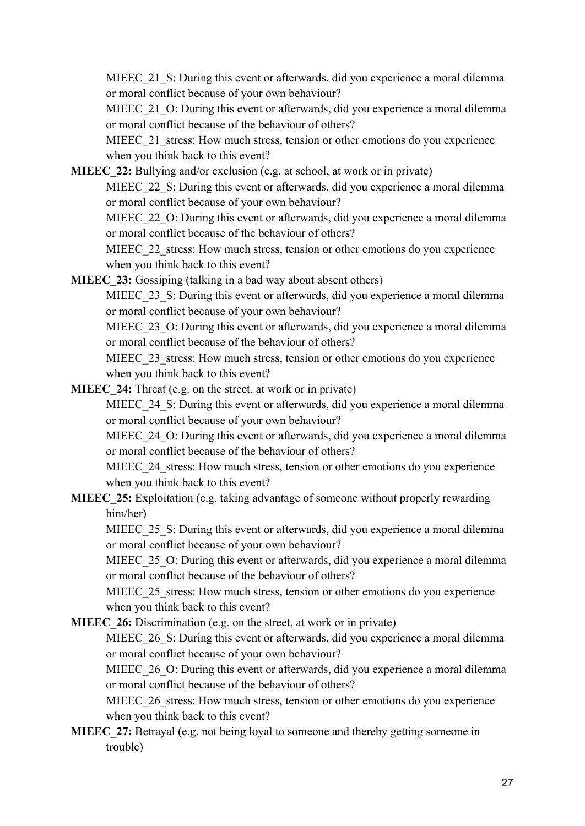MIEEC 21 S: During this event or afterwards, did you experience a moral dilemma or moral conflict because of your own behaviour?

MIEEC 21 O: During this event or afterwards, did you experience a moral dilemma or moral conflict because of the behaviour of others?

MIEEC 21 stress: How much stress, tension or other emotions do you experience when you think back to this event?

**MIEEC** 22: Bullying and/or exclusion (e.g. at school, at work or in private)

MIEEC 22 S: During this event or afterwards, did you experience a moral dilemma or moral conflict because of your own behaviour?

MIEEC 22 O: During this event or afterwards, did you experience a moral dilemma or moral conflict because of the behaviour of others?

MIEEC 22 stress: How much stress, tension or other emotions do you experience when you think back to this event?

**MIEEC** 23: Gossiping (talking in a bad way about absent others)

MIEEC 23 S: During this event or afterwards, did you experience a moral dilemma or moral conflict because of your own behaviour?

MIEEC 23 O: During this event or afterwards, did you experience a moral dilemma or moral conflict because of the behaviour of others?

MIEEC 23 stress: How much stress, tension or other emotions do you experience when you think back to this event?

**MIEEC** 24: Threat (e.g. on the street, at work or in private)

MIEEC 24 S: During this event or afterwards, did you experience a moral dilemma or moral conflict because of your own behaviour?

MIEEC 24 O: During this event or afterwards, did you experience a moral dilemma or moral conflict because of the behaviour of others?

MIEEC 24 stress: How much stress, tension or other emotions do you experience when you think back to this event?

**MIEEC** 25: Exploitation (e.g. taking advantage of someone without properly rewarding him/her)

MIEEC 25 S: During this event or afterwards, did you experience a moral dilemma or moral conflict because of your own behaviour?

MIEEC 25 O: During this event or afterwards, did you experience a moral dilemma or moral conflict because of the behaviour of others?

MIEEC 25 stress: How much stress, tension or other emotions do you experience when you think back to this event?

**MIEEC** 26: Discrimination (e.g. on the street, at work or in private)

MIEEC 26 S: During this event or afterwards, did you experience a moral dilemma or moral conflict because of your own behaviour?

MIEEC 26 O: During this event or afterwards, did you experience a moral dilemma or moral conflict because of the behaviour of others?

MIEEC 26 stress: How much stress, tension or other emotions do you experience when you think back to this event?

**MIEEC** 27: Betrayal (e.g. not being loyal to someone and thereby getting someone in trouble)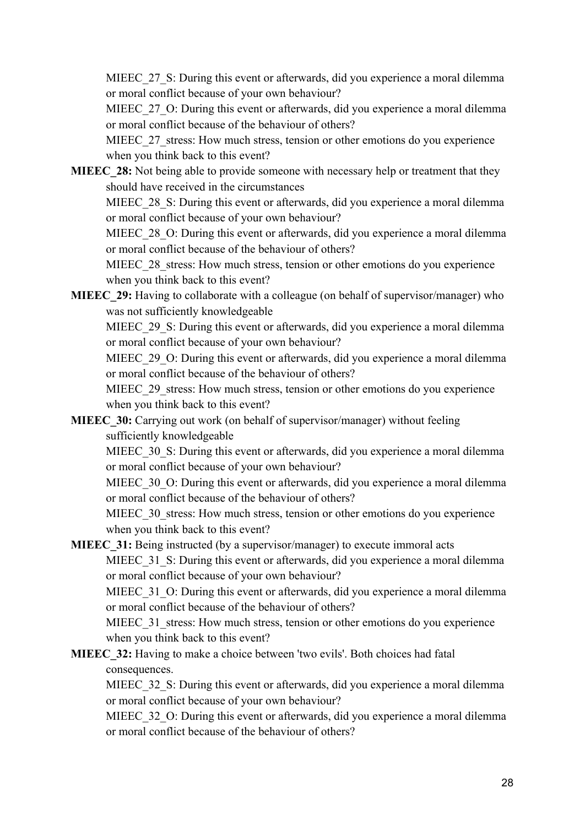MIEEC 27 S: During this event or afterwards, did you experience a moral dilemma or moral conflict because of your own behaviour?

MIEEC 27 O: During this event or afterwards, did you experience a moral dilemma or moral conflict because of the behaviour of others?

MIEEC 27 stress: How much stress, tension or other emotions do you experience when you think back to this event?

**MIEEC** 28: Not being able to provide someone with necessary help or treatment that they should have received in the circumstances

MIEEC 28 S: During this event or afterwards, did you experience a moral dilemma or moral conflict because of your own behaviour?

MIEEC 28 O: During this event or afterwards, did you experience a moral dilemma or moral conflict because of the behaviour of others?

MIEEC 28 stress: How much stress, tension or other emotions do you experience when you think back to this event?

**MIEEC** 29: Having to collaborate with a colleague (on behalf of supervisor/manager) who was not sufficiently knowledgeable

MIEEC 29 S: During this event or afterwards, did you experience a moral dilemma or moral conflict because of your own behaviour?

MIEEC 29 O: During this event or afterwards, did you experience a moral dilemma or moral conflict because of the behaviour of others?

MIEEC 29 stress: How much stress, tension or other emotions do you experience when you think back to this event?

**MIEEC** 30: Carrying out work (on behalf of supervisor/manager) without feeling sufficiently knowledgeable

MIEEC 30 S: During this event or afterwards, did you experience a moral dilemma or moral conflict because of your own behaviour?

MIEEC 30 O: During this event or afterwards, did you experience a moral dilemma or moral conflict because of the behaviour of others?

MIEEC 30 stress: How much stress, tension or other emotions do you experience when you think back to this event?

**MIEEC** 31: Being instructed (by a supervisor/manager) to execute immoral acts MIEEC 31 S: During this event or afterwards, did you experience a moral dilemma or moral conflict because of your own behaviour?

MIEEC 31 O: During this event or afterwards, did you experience a moral dilemma or moral conflict because of the behaviour of others?

MIEEC 31 stress: How much stress, tension or other emotions do you experience when you think back to this event?

**MIEEC** 32: Having to make a choice between 'two evils'. Both choices had fatal consequences.

MIEEC 32 S: During this event or afterwards, did you experience a moral dilemma or moral conflict because of your own behaviour?

MIEEC 32 O: During this event or afterwards, did you experience a moral dilemma or moral conflict because of the behaviour of others?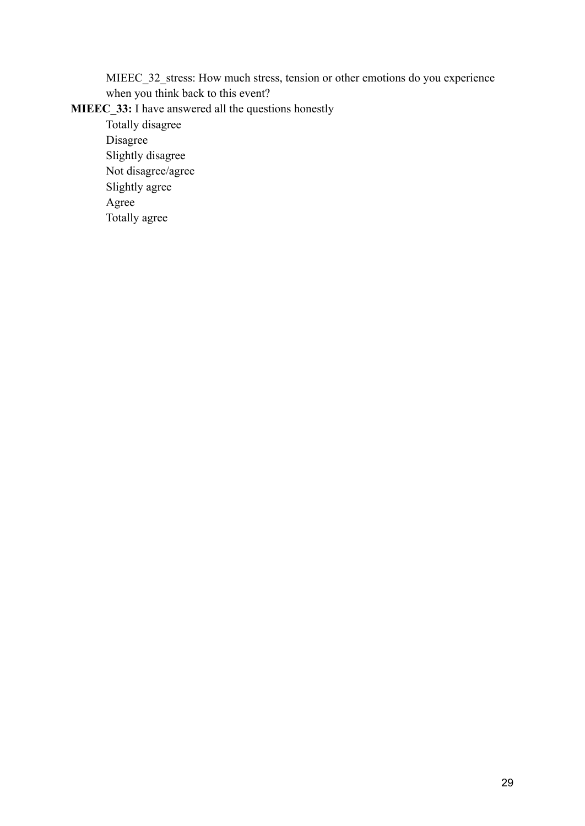MIEEC\_32\_stress: How much stress, tension or other emotions do you experience when you think back to this event?

# **MIEEC\_33:** I have answered all the questions honestly

Totally disagree Disagree Slightly disagree Not disagree/agree Slightly agree Agree Totally agree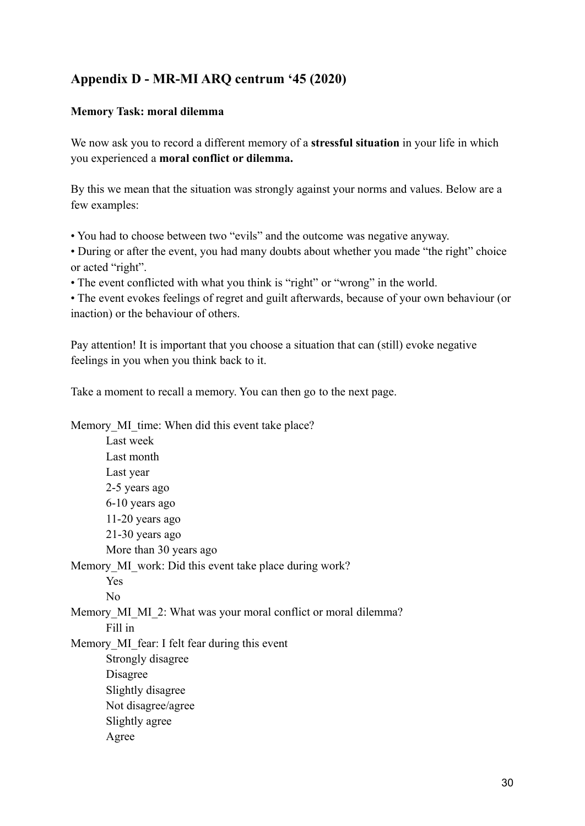# **Appendix D - MR-MI ARQ centrum '45 (2020)**

### **Memory Task: moral dilemma**

We now ask you to record a different memory of a **stressful situation** in your life in which you experienced a **moral conflict or dilemma.**

By this we mean that the situation was strongly against your norms and values. Below are a few examples:

• You had to choose between two "evils" and the outcome was negative anyway.

• During or after the event, you had many doubts about whether you made "the right" choice or acted "right".

• The event conflicted with what you think is "right" or "wrong" in the world.

• The event evokes feelings of regret and guilt afterwards, because of your own behaviour (or inaction) or the behaviour of others.

Pay attention! It is important that you choose a situation that can (still) evoke negative feelings in you when you think back to it.

Take a moment to recall a memory. You can then go to the next page.

Memory MI time: When did this event take place?

Last week Last month Last year 2-5 years ago 6-10 years ago 11-20 years ago 21-30 years ago More than 30 years ago Memory MI\_work: Did this event take place during work? Yes No Memory MI\_MI\_2: What was your moral conflict or moral dilemma? Fill in Memory MI fear: I felt fear during this event Strongly disagree Disagree Slightly disagree Not disagree/agree Slightly agree Agree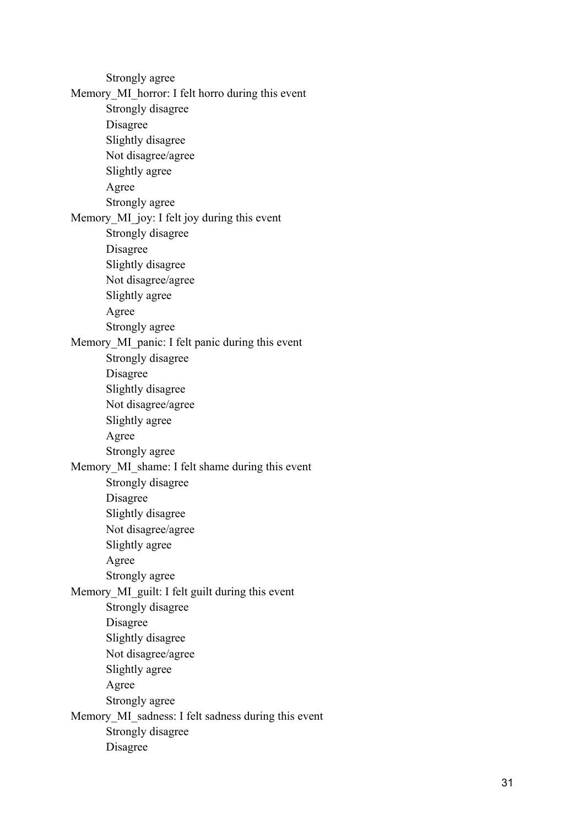Strongly agree Memory MI horror: I felt horro during this event Strongly disagree Disagree Slightly disagree Not disagree/agree Slightly agree Agree Strongly agree Memory MI joy: I felt joy during this event Strongly disagree Disagree Slightly disagree Not disagree/agree Slightly agree Agree Strongly agree Memory MI panic: I felt panic during this event Strongly disagree Disagree Slightly disagree Not disagree/agree Slightly agree Agree Strongly agree Memory MI\_shame: I felt shame during this event Strongly disagree Disagree Slightly disagree Not disagree/agree Slightly agree Agree Strongly agree Memory MI guilt: I felt guilt during this event Strongly disagree Disagree Slightly disagree Not disagree/agree Slightly agree Agree Strongly agree Memory MI\_sadness: I felt sadness during this event Strongly disagree Disagree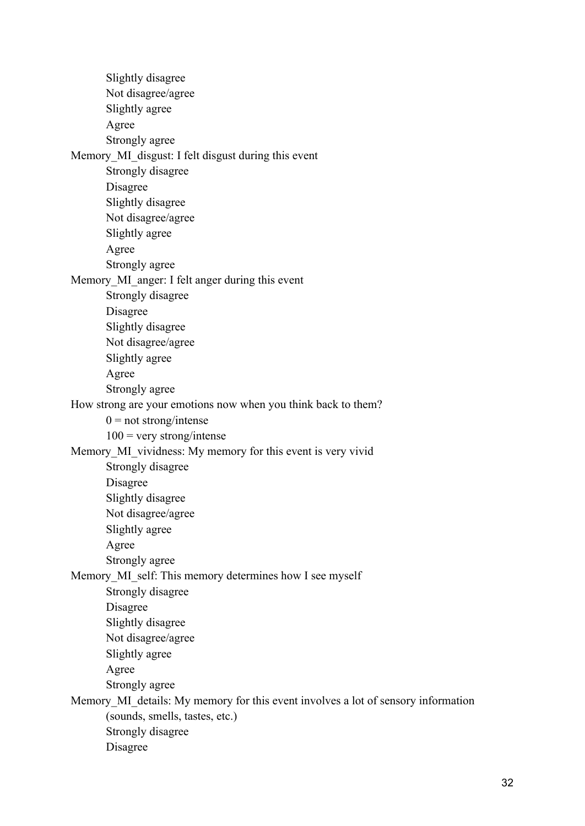Slightly disagree Not disagree/agree Slightly agree Agree Strongly agree Memory\_MI\_disgust: I felt disgust during this event Strongly disagree Disagree Slightly disagree Not disagree/agree Slightly agree Agree Strongly agree Memory MI anger: I felt anger during this event Strongly disagree Disagree Slightly disagree Not disagree/agree Slightly agree Agree Strongly agree How strong are your emotions now when you think back to them?  $0 = not strong/intense$  $100$  = very strong/intense Memory MI vividness: My memory for this event is very vivid Strongly disagree Disagree Slightly disagree Not disagree/agree Slightly agree Agree Strongly agree Memory MI\_self: This memory determines how I see myself Strongly disagree Disagree Slightly disagree Not disagree/agree Slightly agree Agree Strongly agree Memory MI details: My memory for this event involves a lot of sensory information (sounds, smells, tastes, etc.) Strongly disagree Disagree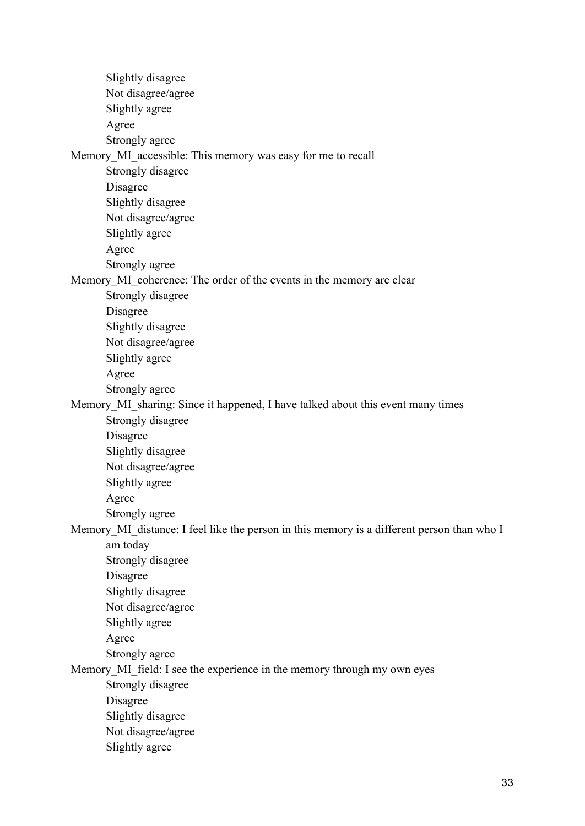Slightly disagree Not disagree/agree Slightly agree Agree Strongly agree Memory MI\_accessible: This memory was easy for me to recall Strongly disagree Disagree Slightly disagree Not disagree/agree Slightly agree Agree Strongly agree Memory MI coherence: The order of the events in the memory are clear Strongly disagree Disagree Slightly disagree Not disagree/agree Slightly agree Agree Strongly agree Memory MI\_sharing: Since it happened, I have talked about this event many times Strongly disagree Disagree Slightly disagree Not disagree/agree Slightly agree Agree Strongly agree Memory\_MI\_distance: I feel like the person in this memory is a different person than who I am today Strongly disagree Disagree Slightly disagree Not disagree/agree Slightly agree Agree Strongly agree Memory MI field: I see the experience in the memory through my own eyes Strongly disagree Disagree Slightly disagree Not disagree/agree Slightly agree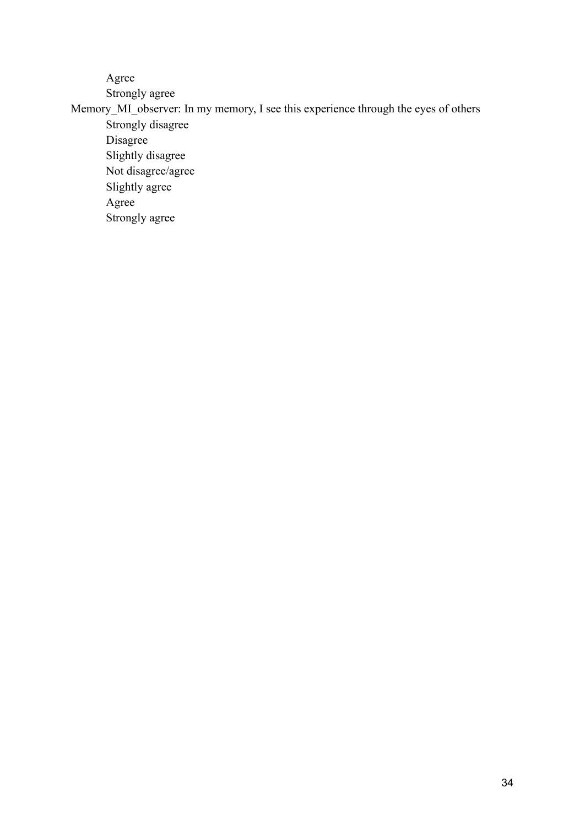Agree

Strongly agree

Memory\_MI\_observer: In my memory, I see this experience through the eyes of others Strongly disagree

Disagree Slightly disagree Not disagree/agree Slightly agree Agree Strongly agree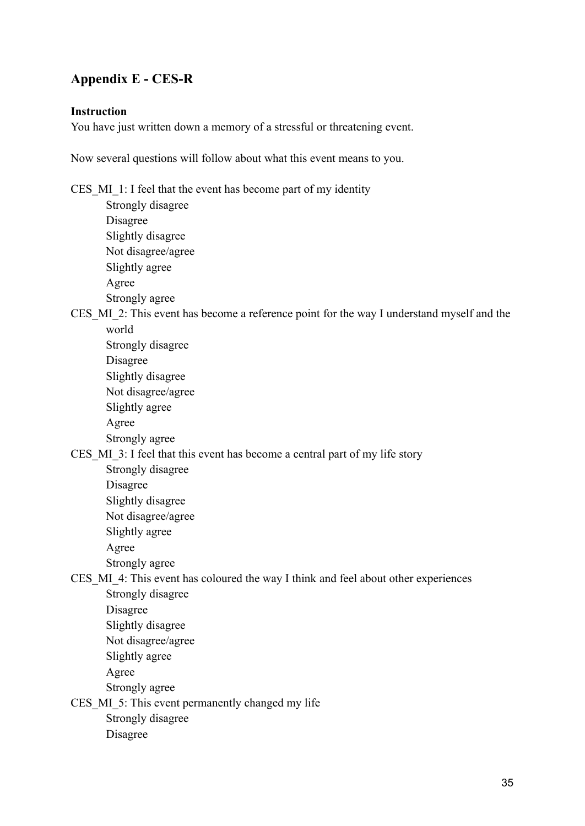# **Appendix E - CES-R**

### **Instruction**

You have just written down a memory of a stressful or threatening event.

Now several questions will follow about what this event means to you.

CES MI 1: I feel that the event has become part of my identity

Strongly disagree Disagree Slightly disagree Not disagree/agree Slightly agree Agree Strongly agree

CES MI 2: This event has become a reference point for the way I understand myself and the world

Strongly disagree Disagree Slightly disagree Not disagree/agree Slightly agree Agree Strongly agree

CES MI 3: I feel that this event has become a central part of my life story

Strongly disagree Disagree Slightly disagree Not disagree/agree Slightly agree Agree

Strongly agree

# CES\_MI\_4: This event has coloured the way I think and feel about other experiences Strongly disagree

- Disagree
- Slightly disagree
- Not disagree/agree
- Slightly agree

Agree

Strongly agree

CES MI 5: This event permanently changed my life

Strongly disagree

Disagree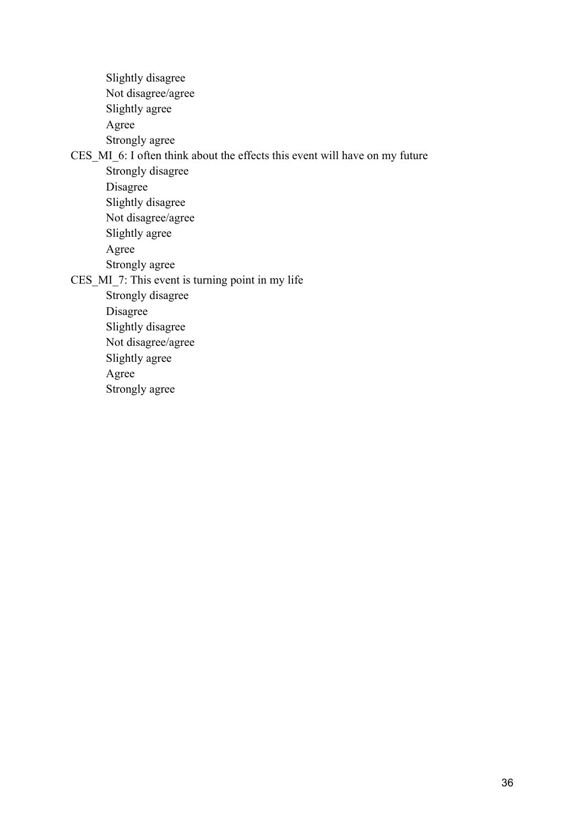Slightly disagree Not disagree/agree Slightly agree Agree Strongly agree

CES\_MI\_6: I often think about the effects this event will have on my future

Strongly disagree

Disagree

Slightly disagree

Not disagree/agree Slightly agree

Agree Strongly agree

CES MI 7: This event is turning point in my life

Strongly disagree

Disagree

Slightly disagree

Not disagree/agree

Slightly agree

Agree

Strongly agree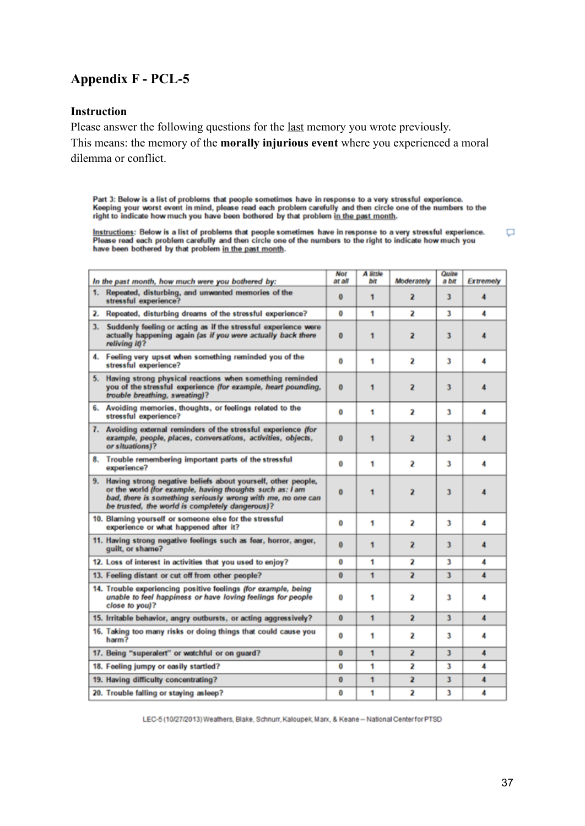# **Appendix F - PCL-5**

#### **Instruction**

Please answer the following questions for the last memory you wrote previously. This means: the memory of the **morally injurious event** where you experienced a moral dilemma or conflict.

Part 3: Below is a list of problems that people sometimes have in response to a very stressful experience.<br>Keeping your worst event in mind, please read each problem carefully and then circle one of the numbers to the<br>righ

Instructions: Below is a list of problems that people sometimes have in response to a very stressful experience.<br>Please read each problem carefully and then circle one of the numbers to the right to indicate how much you h  $\Box$ 

| In the past month, how much were you bothered by:                                                                                                                                                                                             | Not<br>at all | A little<br>bit | Moderately              | Quite<br>a bit | <b>Extremely</b> |
|-----------------------------------------------------------------------------------------------------------------------------------------------------------------------------------------------------------------------------------------------|---------------|-----------------|-------------------------|----------------|------------------|
| 1. Repeated, disturbing, and unwanted memories of the<br>stressful experience?                                                                                                                                                                | $\bf{0}$      | 1               | 2                       | 3              | 4                |
| 2. Repeated, disturbing dreams of the stressful experience?                                                                                                                                                                                   | 0             | 1               | 2                       | 3              | 4                |
| Suddenly feeling or acting as if the stressful experience were<br>3.<br>actually happening again (as if you were actually back there<br>reliving it)?                                                                                         | 0             | 1               | 2                       | 3              |                  |
| 4. Feeling very upset when something reminded you of the<br>stressful experience?                                                                                                                                                             | 0             | 1               | 2                       | 3              | 4                |
| 5. Having strong physical reactions when something reminded<br>you of the stressful experience (for example, heart pounding,<br>trouble breathing, sweating)?                                                                                 | $\bf{0}$      | 1               | 2                       | 3              |                  |
| 6. Avoiding memories, thoughts, or feelings related to the<br>stressful experience?                                                                                                                                                           | 0             | 1               | 2                       | 3              | 4                |
| 7. Avoiding external reminders of the stressful experience (for<br>example, people, places, conversations, activities, objects,<br>or situations)?                                                                                            | $\bf{0}$      | $\mathbf{1}$    | 2                       | 3              |                  |
| 8. Trouble remembering important parts of the stressful<br>experience?                                                                                                                                                                        | 0             | 1               | 2                       | 3              | 4                |
| 9. Having strong negative beliefs about yourself, other people,<br>or the world (for example, having thoughts such as: I am<br>bad, there is something seriously wrong with me, no one can<br>be trusted, the world is completely dangerous)? | $\bf{0}$      | 1               | $\overline{\mathbf{z}}$ | 3              |                  |
| 10. Blaming yourself or someone else for the stressful<br>experience or what happened after it?                                                                                                                                               | 0             | 1               | 2                       | 3              | 4                |
| 11. Having strong negative feelings such as fear, horror, anger,<br>quilt, or shame?                                                                                                                                                          | $\bf{0}$      | 1               | 2                       | 3              | 4                |
| 12. Loss of interest in activities that you used to enjoy?                                                                                                                                                                                    | 0             | 1               | 2                       | 3              | 4                |
| 13. Feeling distant or cut off from other people?                                                                                                                                                                                             | $\bf{0}$      | $\mathbf{1}$    | 2                       | 3              | 4                |
| 14. Trouble experiencing positive feelings (for example, being<br>unable to feel happiness or have loving feelings for people<br>close to you)?                                                                                               | 0             | 1               | 2                       | 3              |                  |
| 15. Irritable behavior, angry outbursts, or acting aggressively?                                                                                                                                                                              | $\bf{0}$      | $\mathbf{1}$    | $\overline{a}$          | 3              | 4                |
| 16. Taking too many risks or doing things that could cause you<br>harm?                                                                                                                                                                       | 0             | 1               | 2                       | 3              | 4                |
| 17. Being "superalert" or watchful or on guard?                                                                                                                                                                                               | $\bf{0}$      | $\mathbf{1}$    | 2                       | 3              | 4                |
| 18. Feeling jumpy or easily startled?                                                                                                                                                                                                         | 0             | 1               | 2                       | 3              | 4                |
| 19. Having difficulty concentrating?                                                                                                                                                                                                          | $\bf{0}$      | $\mathbf{1}$    | $\overline{a}$          | 3              | 4                |
| 20. Trouble falling or staying as leep?                                                                                                                                                                                                       | 0             | 1               | 2                       | 3              | 4                |

LEC-5 (10/27/2013) Weathers, Blake, Schnurr, Kaloupek, Marx, & Keane -- National Center for PTSD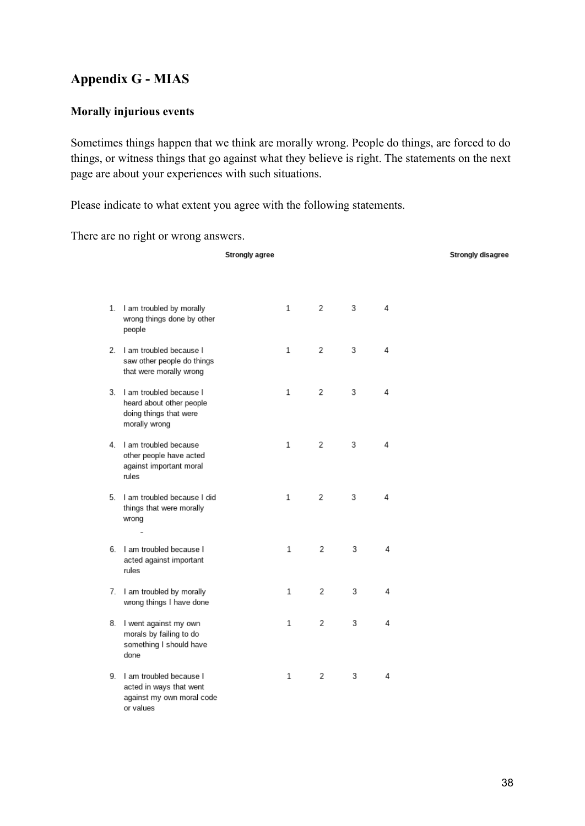# **Appendix G - MIAS**

### **Morally injurious events**

Sometimes things happen that we think are morally wrong. People do things, are forced to do things, or witness things that go against what they believe is right. The statements on the next page are about your experiences with such situations.

Please indicate to what extent you agree with the following statements.

There are no right or wrong answers.

|  |                                                                                                   | <b>Strongly agree</b> |              |   |   |   | <b>Strongly disagree</b> |
|--|---------------------------------------------------------------------------------------------------|-----------------------|--------------|---|---|---|--------------------------|
|  |                                                                                                   |                       |              |   |   |   |                          |
|  | 1. I am troubled by morally<br>wrong things done by other<br>people                               |                       | $\mathbf{1}$ | 2 | 3 | 4 |                          |
|  | 2. I am troubled because I<br>saw other people do things<br>that were morally wrong               |                       | $\mathbf{1}$ | 2 | 3 | 4 |                          |
|  | 3. I am troubled because I<br>heard about other people<br>doing things that were<br>morally wrong |                       | 1            | 2 | 3 | 4 |                          |
|  | 4. I am troubled because<br>other people have acted<br>against important moral<br>rules           |                       | $\mathbf{1}$ | 2 | 3 | 4 |                          |
|  | 5. I am troubled because I did<br>things that were morally<br>wrong                               |                       | $\mathbf{1}$ | 2 | 3 | 4 |                          |
|  | 6. I am troubled because I<br>acted against important<br>rules                                    |                       | $\mathbf{1}$ | 2 | 3 | 4 |                          |
|  | 7. I am troubled by morally<br>wrong things I have done                                           |                       | $\mathbf{1}$ | 2 | 3 | 4 |                          |
|  | 8. I went against my own<br>morals by failing to do<br>something I should have<br>done            |                       | $\mathbf{1}$ | 2 | 3 | 4 |                          |
|  | 9. I am troubled because I<br>acted in ways that went<br>against my own moral code<br>or values   |                       | $\mathbf{1}$ | 2 | 3 | 4 |                          |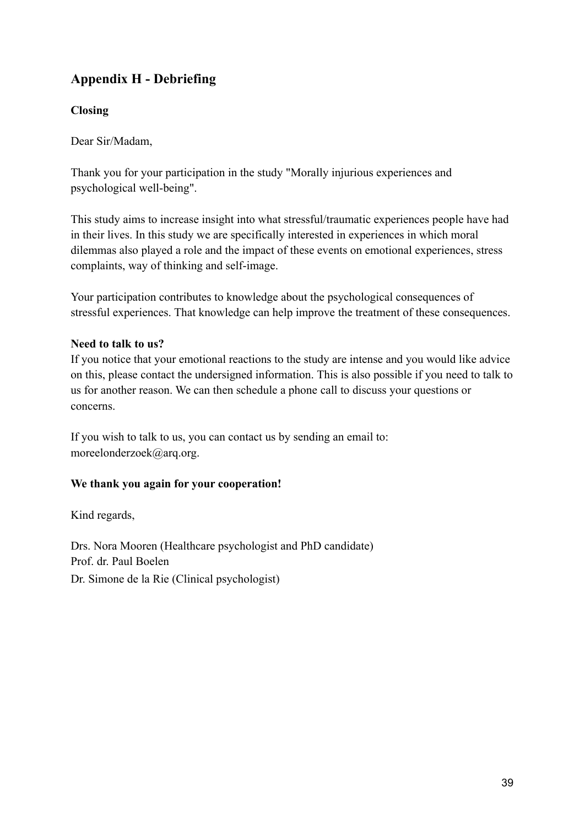# **Appendix H - Debriefing**

# **Closing**

Dear Sir/Madam,

Thank you for your participation in the study "Morally injurious experiences and psychological well-being".

This study aims to increase insight into what stressful/traumatic experiences people have had in their lives. In this study we are specifically interested in experiences in which moral dilemmas also played a role and the impact of these events on emotional experiences, stress complaints, way of thinking and self-image.

Your participation contributes to knowledge about the psychological consequences of stressful experiences. That knowledge can help improve the treatment of these consequences.

# **Need to talk to us?**

If you notice that your emotional reactions to the study are intense and you would like advice on this, please contact the undersigned information. This is also possible if you need to talk to us for another reason. We can then schedule a phone call to discuss your questions or concerns.

If you wish to talk to us, you can contact us by sending an email to: moreelonderzoek@arq.org.

# **We thank you again for your cooperation!**

Kind regards,

Drs. Nora Mooren (Healthcare psychologist and PhD candidate) Prof. dr. Paul Boelen Dr. Simone de la Rie (Clinical psychologist)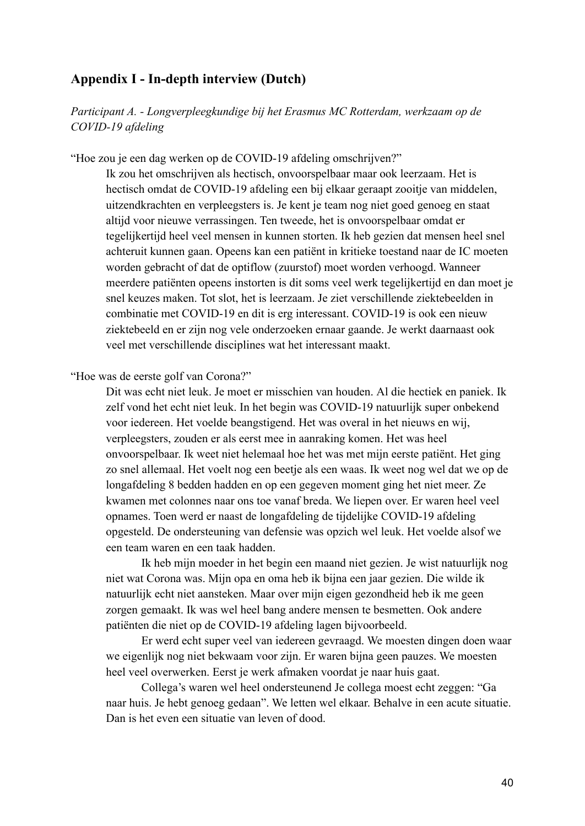# **Appendix I - In-depth interview (Dutch)**

*Participant A. - Longverpleegkundige bij het Erasmus MC Rotterdam, werkzaam op de COVID-19 afdeling*

"Hoe zou je een dag werken op de COVID-19 afdeling omschrijven?"

Ik zou het omschrijven als hectisch, onvoorspelbaar maar ook leerzaam. Het is hectisch omdat de COVID-19 afdeling een bij elkaar geraapt zooitje van middelen, uitzendkrachten en verpleegsters is. Je kent je team nog niet goed genoeg en staat altijd voor nieuwe verrassingen. Ten tweede, het is onvoorspelbaar omdat er tegelijkertijd heel veel mensen in kunnen storten. Ik heb gezien dat mensen heel snel achteruit kunnen gaan. Opeens kan een patiënt in kritieke toestand naar de IC moeten worden gebracht of dat de optiflow (zuurstof) moet worden verhoogd. Wanneer meerdere patiënten opeens instorten is dit soms veel werk tegelijkertijd en dan moet je snel keuzes maken. Tot slot, het is leerzaam. Je ziet verschillende ziektebeelden in combinatie met COVID-19 en dit is erg interessant. COVID-19 is ook een nieuw ziektebeeld en er zijn nog vele onderzoeken ernaar gaande. Je werkt daarnaast ook veel met verschillende disciplines wat het interessant maakt.

"Hoe was de eerste golf van Corona?"

Dit was echt niet leuk. Je moet er misschien van houden. Al die hectiek en paniek. Ik zelf vond het echt niet leuk. In het begin was COVID-19 natuurlijk super onbekend voor iedereen. Het voelde beangstigend. Het was overal in het nieuws en wij, verpleegsters, zouden er als eerst mee in aanraking komen. Het was heel onvoorspelbaar. Ik weet niet helemaal hoe het was met mijn eerste patiënt. Het ging zo snel allemaal. Het voelt nog een beetje als een waas. Ik weet nog wel dat we op de longafdeling 8 bedden hadden en op een gegeven moment ging het niet meer. Ze kwamen met colonnes naar ons toe vanaf breda. We liepen over. Er waren heel veel opnames. Toen werd er naast de longafdeling de tijdelijke COVID-19 afdeling opgesteld. De ondersteuning van defensie was opzich wel leuk. Het voelde alsof we een team waren en een taak hadden.

Ik heb mijn moeder in het begin een maand niet gezien. Je wist natuurlijk nog niet wat Corona was. Mijn opa en oma heb ik bijna een jaar gezien. Die wilde ik natuurlijk echt niet aansteken. Maar over mijn eigen gezondheid heb ik me geen zorgen gemaakt. Ik was wel heel bang andere mensen te besmetten. Ook andere patiënten die niet op de COVID-19 afdeling lagen bijvoorbeeld.

Er werd echt super veel van iedereen gevraagd. We moesten dingen doen waar we eigenlijk nog niet bekwaam voor zijn. Er waren bijna geen pauzes. We moesten heel veel overwerken. Eerst je werk afmaken voordat je naar huis gaat.

Collega's waren wel heel ondersteunend Je collega moest echt zeggen: "Ga naar huis. Je hebt genoeg gedaan". We letten wel elkaar. Behalve in een acute situatie. Dan is het even een situatie van leven of dood.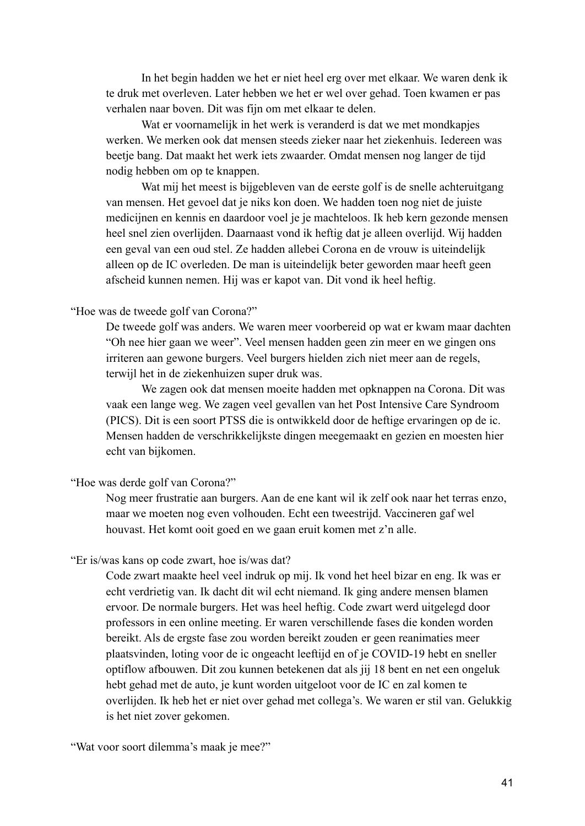In het begin hadden we het er niet heel erg over met elkaar. We waren denk ik te druk met overleven. Later hebben we het er wel over gehad. Toen kwamen er pas verhalen naar boven. Dit was fijn om met elkaar te delen.

Wat er voornamelijk in het werk is veranderd is dat we met mondkapjes werken. We merken ook dat mensen steeds zieker naar het ziekenhuis. Iedereen was beetje bang. Dat maakt het werk iets zwaarder. Omdat mensen nog langer de tijd nodig hebben om op te knappen.

Wat mij het meest is bijgebleven van de eerste golf is de snelle achteruitgang van mensen. Het gevoel dat je niks kon doen. We hadden toen nog niet de juiste medicijnen en kennis en daardoor voel je je machteloos. Ik heb kern gezonde mensen heel snel zien overlijden. Daarnaast vond ik heftig dat je alleen overlijd. Wij hadden een geval van een oud stel. Ze hadden allebei Corona en de vrouw is uiteindelijk alleen op de IC overleden. De man is uiteindelijk beter geworden maar heeft geen afscheid kunnen nemen. Hij was er kapot van. Dit vond ik heel heftig.

#### "Hoe was de tweede golf van Corona?"

De tweede golf was anders. We waren meer voorbereid op wat er kwam maar dachten "Oh nee hier gaan we weer". Veel mensen hadden geen zin meer en we gingen ons irriteren aan gewone burgers. Veel burgers hielden zich niet meer aan de regels, terwijl het in de ziekenhuizen super druk was.

We zagen ook dat mensen moeite hadden met opknappen na Corona. Dit was vaak een lange weg. We zagen veel gevallen van het Post Intensive Care Syndroom (PICS). Dit is een soort PTSS die is ontwikkeld door de heftige ervaringen op de ic. Mensen hadden de verschrikkelijkste dingen meegemaakt en gezien en moesten hier echt van bijkomen.

#### "Hoe was derde golf van Corona?"

Nog meer frustratie aan burgers. Aan de ene kant wil ik zelf ook naar het terras enzo, maar we moeten nog even volhouden. Echt een tweestrijd. Vaccineren gaf wel houvast. Het komt ooit goed en we gaan eruit komen met z'n alle.

#### "Er is/was kans op code zwart, hoe is/was dat?

Code zwart maakte heel veel indruk op mij. Ik vond het heel bizar en eng. Ik was er echt verdrietig van. Ik dacht dit wil echt niemand. Ik ging andere mensen blamen ervoor. De normale burgers. Het was heel heftig. Code zwart werd uitgelegd door professors in een online meeting. Er waren verschillende fases die konden worden bereikt. Als de ergste fase zou worden bereikt zouden er geen reanimaties meer plaatsvinden, loting voor de ic ongeacht leeftijd en of je COVID-19 hebt en sneller optiflow afbouwen. Dit zou kunnen betekenen dat als jij 18 bent en net een ongeluk hebt gehad met de auto, je kunt worden uitgeloot voor de IC en zal komen te overlijden. Ik heb het er niet over gehad met collega's. We waren er stil van. Gelukkig is het niet zover gekomen.

"Wat voor soort dilemma's maak je mee?"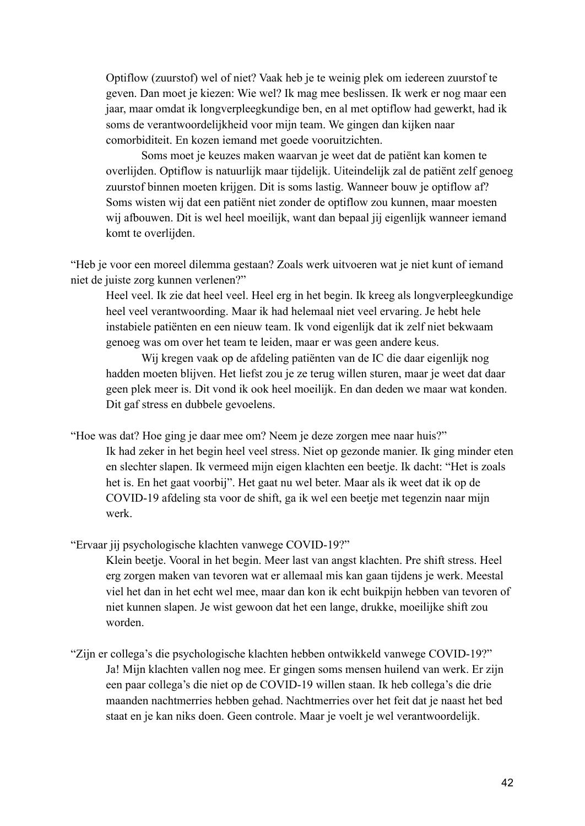Optiflow (zuurstof) wel of niet? Vaak heb je te weinig plek om iedereen zuurstof te geven. Dan moet je kiezen: Wie wel? Ik mag mee beslissen. Ik werk er nog maar een jaar, maar omdat ik longverpleegkundige ben, en al met optiflow had gewerkt, had ik soms de verantwoordelijkheid voor mijn team. We gingen dan kijken naar comorbiditeit. En kozen iemand met goede vooruitzichten.

Soms moet je keuzes maken waarvan je weet dat de patiënt kan komen te overlijden. Optiflow is natuurlijk maar tijdelijk. Uiteindelijk zal de patiënt zelf genoeg zuurstof binnen moeten krijgen. Dit is soms lastig. Wanneer bouw je optiflow af? Soms wisten wij dat een patiënt niet zonder de optiflow zou kunnen, maar moesten wij afbouwen. Dit is wel heel moeilijk, want dan bepaal jij eigenlijk wanneer iemand komt te overlijden.

"Heb je voor een moreel dilemma gestaan? Zoals werk uitvoeren wat je niet kunt of iemand niet de juiste zorg kunnen verlenen?"

Heel veel. Ik zie dat heel veel. Heel erg in het begin. Ik kreeg als longverpleegkundige heel veel verantwoording. Maar ik had helemaal niet veel ervaring. Je hebt hele instabiele patiënten en een nieuw team. Ik vond eigenlijk dat ik zelf niet bekwaam genoeg was om over het team te leiden, maar er was geen andere keus.

Wij kregen vaak op de afdeling patiënten van de IC die daar eigenlijk nog hadden moeten blijven. Het liefst zou je ze terug willen sturen, maar je weet dat daar geen plek meer is. Dit vond ik ook heel moeilijk. En dan deden we maar wat konden. Dit gaf stress en dubbele gevoelens.

"Hoe was dat? Hoe ging je daar mee om? Neem je deze zorgen mee naar huis?" Ik had zeker in het begin heel veel stress. Niet op gezonde manier. Ik ging minder eten en slechter slapen. Ik vermeed mijn eigen klachten een beetje. Ik dacht: "Het is zoals het is. En het gaat voorbij". Het gaat nu wel beter. Maar als ik weet dat ik op de COVID-19 afdeling sta voor de shift, ga ik wel een beetje met tegenzin naar mijn werk.

"Ervaar jij psychologische klachten vanwege COVID-19?"

Klein beetje. Vooral in het begin. Meer last van angst klachten. Pre shift stress. Heel erg zorgen maken van tevoren wat er allemaal mis kan gaan tijdens je werk. Meestal viel het dan in het echt wel mee, maar dan kon ik echt buikpijn hebben van tevoren of niet kunnen slapen. Je wist gewoon dat het een lange, drukke, moeilijke shift zou worden.

"Zijn er collega's die psychologische klachten hebben ontwikkeld vanwege COVID-19?" Ja! Mijn klachten vallen nog mee. Er gingen soms mensen huilend van werk. Er zijn een paar collega's die niet op de COVID-19 willen staan. Ik heb collega's die drie maanden nachtmerries hebben gehad. Nachtmerries over het feit dat je naast het bed staat en je kan niks doen. Geen controle. Maar je voelt je wel verantwoordelijk.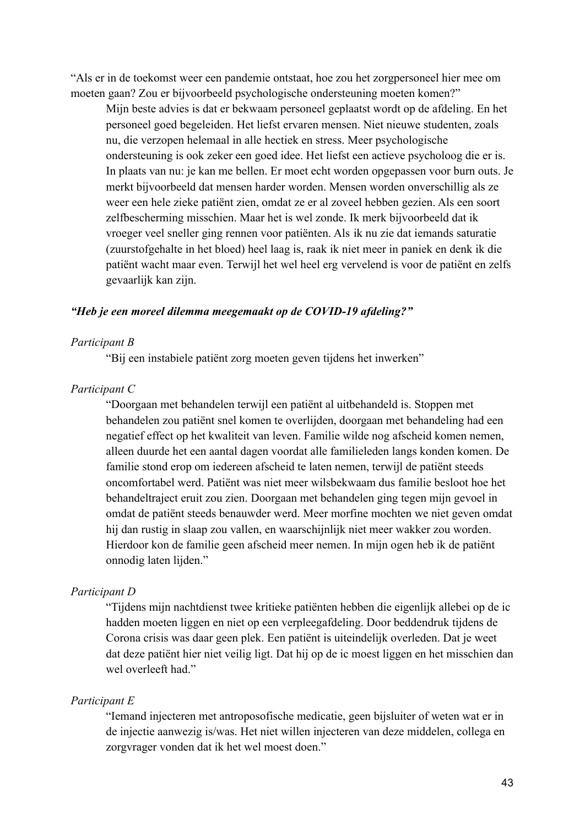"Als er in de toekomst weer een pandemie ontstaat, hoe zou het zorgpersoneel hier mee om moeten gaan? Zou er bijvoorbeeld psychologische ondersteuning moeten komen?"

Mijn beste advies is dat er bekwaam personeel geplaatst wordt op de afdeling. En het personeel goed begeleiden. Het liefst ervaren mensen. Niet nieuwe studenten, zoals nu, die verzopen helemaal in alle hectiek en stress. Meer psychologische ondersteuning is ook zeker een goed idee. Het liefst een actieve psycholoog die er is. In plaats van nu: je kan me bellen. Er moet echt worden opgepassen voor burn outs. Je merkt bijvoorbeeld dat mensen harder worden. Mensen worden onverschillig als ze weer een hele zieke patiënt zien, omdat ze er al zoveel hebben gezien. Als een soort zelfbescherming misschien. Maar het is wel zonde. Ik merk bijvoorbeeld dat ik vroeger veel sneller ging rennen voor patiënten. Als ik nu zie dat iemands saturatie (zuurstofgehalte in het bloed) heel laag is, raak ik niet meer in paniek en denk ik die patiënt wacht maar even. Terwijl het wel heel erg vervelend is voor de patiënt en zelfs gevaarlijk kan zijn.

### *"Heb je een moreel dilemma meegemaakt op de COVID-19 afdeling?"*

### *Participant B*

"Bij een instabiele patiënt zorg moeten geven tijdens het inwerken"

#### *Participant C*

"Doorgaan met behandelen terwijl een patiënt al uitbehandeld is. Stoppen met behandelen zou patiënt snel komen te overlijden, doorgaan met behandeling had een negatief effect op het kwaliteit van leven. Familie wilde nog afscheid komen nemen, alleen duurde het een aantal dagen voordat alle familieleden langs konden komen. De familie stond erop om iedereen afscheid te laten nemen, terwijl de patiënt steeds oncomfortabel werd. Patiënt was niet meer wilsbekwaam dus familie besloot hoe het behandeltraject eruit zou zien. Doorgaan met behandelen ging tegen mijn gevoel in omdat de patiënt steeds benauwder werd. Meer morfine mochten we niet geven omdat hij dan rustig in slaap zou vallen, en waarschijnlijk niet meer wakker zou worden. Hierdoor kon de familie geen afscheid meer nemen. In mijn ogen heb ik de patiënt onnodig laten lijden."

#### *Participant D*

"Tijdens mijn nachtdienst twee kritieke patiënten hebben die eigenlijk allebei op de ic hadden moeten liggen en niet op een verpleegafdeling. Door beddendruk tijdens de Corona crisis was daar geen plek. Een patiënt is uiteindelijk overleden. Dat je weet dat deze patiënt hier niet veilig ligt. Dat hij op de ic moest liggen en het misschien dan wel overleeft had."

#### *Participant E*

"Iemand injecteren met antroposofische medicatie, geen bijsluiter of weten wat er in de injectie aanwezig is/was. Het niet willen injecteren van deze middelen, collega en zorgvrager vonden dat ik het wel moest doen."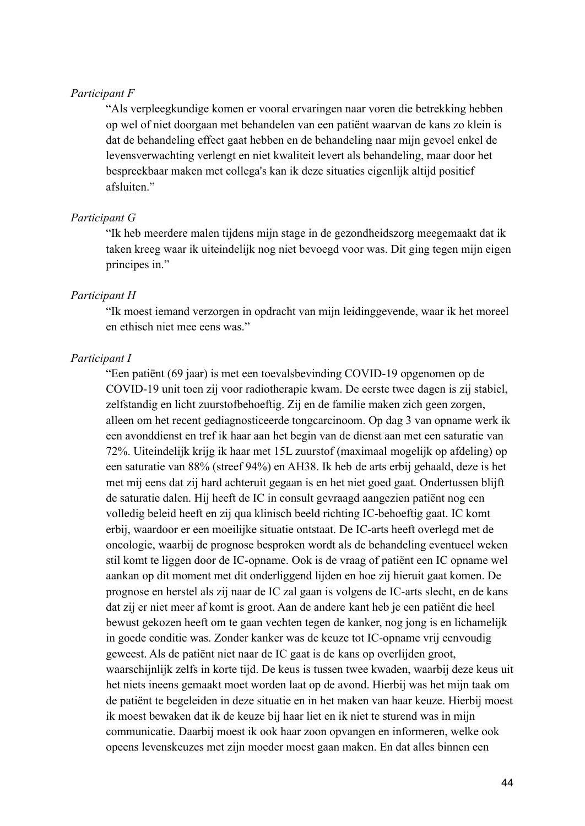### *Participant F*

"Als verpleegkundige komen er vooral ervaringen naar voren die betrekking hebben op wel of niet doorgaan met behandelen van een patiënt waarvan de kans zo klein is dat de behandeling effect gaat hebben en de behandeling naar mijn gevoel enkel de levensverwachting verlengt en niet kwaliteit levert als behandeling, maar door het bespreekbaar maken met collega's kan ik deze situaties eigenlijk altijd positief afsluiten."

#### *Participant G*

"Ik heb meerdere malen tijdens mijn stage in de gezondheidszorg meegemaakt dat ik taken kreeg waar ik uiteindelijk nog niet bevoegd voor was. Dit ging tegen mijn eigen principes in."

#### *Participant H*

"Ik moest iemand verzorgen in opdracht van mijn leidinggevende, waar ik het moreel en ethisch niet mee eens was."

#### *Participant I*

"Een patiënt (69 jaar) is met een toevalsbevinding COVID-19 opgenomen op de COVID-19 unit toen zij voor radiotherapie kwam. De eerste twee dagen is zij stabiel, zelfstandig en licht zuurstofbehoeftig. Zij en de familie maken zich geen zorgen, alleen om het recent gediagnosticeerde tongcarcinoom. Op dag 3 van opname werk ik een avonddienst en tref ik haar aan het begin van de dienst aan met een saturatie van 72%. Uiteindelijk krijg ik haar met 15L zuurstof (maximaal mogelijk op afdeling) op een saturatie van 88% (streef 94%) en AH38. Ik heb de arts erbij gehaald, deze is het met mij eens dat zij hard achteruit gegaan is en het niet goed gaat. Ondertussen blijft de saturatie dalen. Hij heeft de IC in consult gevraagd aangezien patiënt nog een volledig beleid heeft en zij qua klinisch beeld richting IC-behoeftig gaat. IC komt erbij, waardoor er een moeilijke situatie ontstaat. De IC-arts heeft overlegd met de oncologie, waarbij de prognose besproken wordt als de behandeling eventueel weken stil komt te liggen door de IC-opname. Ook is de vraag of patiënt een IC opname wel aankan op dit moment met dit onderliggend lijden en hoe zij hieruit gaat komen. De prognose en herstel als zij naar de IC zal gaan is volgens de IC-arts slecht, en de kans dat zij er niet meer af komt is groot. Aan de andere kant heb je een patiënt die heel bewust gekozen heeft om te gaan vechten tegen de kanker, nog jong is en lichamelijk in goede conditie was. Zonder kanker was de keuze tot IC-opname vrij eenvoudig geweest. Als de patiënt niet naar de IC gaat is de kans op overlijden groot, waarschijnlijk zelfs in korte tijd. De keus is tussen twee kwaden, waarbij deze keus uit het niets ineens gemaakt moet worden laat op de avond. Hierbij was het mijn taak om de patiënt te begeleiden in deze situatie en in het maken van haar keuze. Hierbij moest ik moest bewaken dat ik de keuze bij haar liet en ik niet te sturend was in mijn communicatie. Daarbij moest ik ook haar zoon opvangen en informeren, welke ook opeens levenskeuzes met zijn moeder moest gaan maken. En dat alles binnen een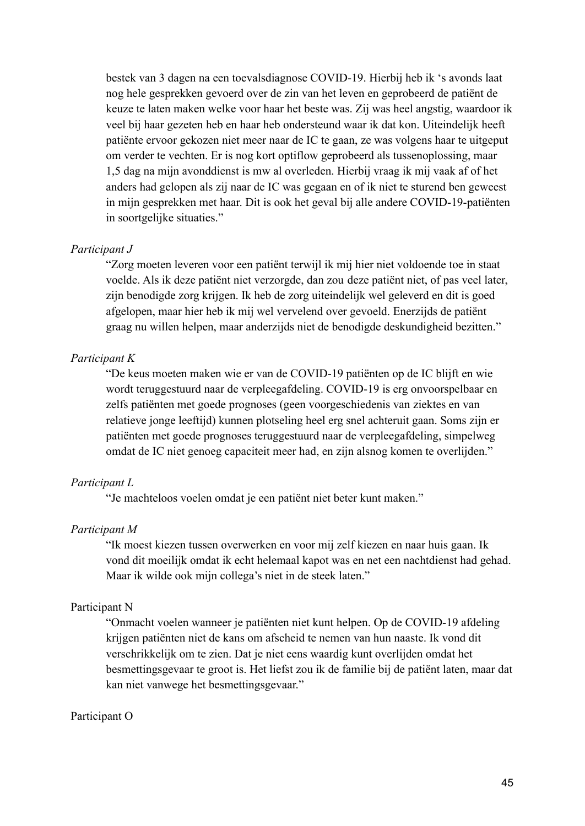bestek van 3 dagen na een toevalsdiagnose COVID-19. Hierbij heb ik 's avonds laat nog hele gesprekken gevoerd over de zin van het leven en geprobeerd de patiënt de keuze te laten maken welke voor haar het beste was. Zij was heel angstig, waardoor ik veel bij haar gezeten heb en haar heb ondersteund waar ik dat kon. Uiteindelijk heeft patiënte ervoor gekozen niet meer naar de IC te gaan, ze was volgens haar te uitgeput om verder te vechten. Er is nog kort optiflow geprobeerd als tussenoplossing, maar 1,5 dag na mijn avonddienst is mw al overleden. Hierbij vraag ik mij vaak af of het anders had gelopen als zij naar de IC was gegaan en of ik niet te sturend ben geweest in mijn gesprekken met haar. Dit is ook het geval bij alle andere COVID-19-patiënten in soortgelijke situaties."

#### *Participant J*

"Zorg moeten leveren voor een patiënt terwijl ik mij hier niet voldoende toe in staat voelde. Als ik deze patiënt niet verzorgde, dan zou deze patiënt niet, of pas veel later, zijn benodigde zorg krijgen. Ik heb de zorg uiteindelijk wel geleverd en dit is goed afgelopen, maar hier heb ik mij wel vervelend over gevoeld. Enerzijds de patiënt graag nu willen helpen, maar anderzijds niet de benodigde deskundigheid bezitten."

#### *Participant K*

"De keus moeten maken wie er van de COVID-19 patiënten op de IC blijft en wie wordt teruggestuurd naar de verpleegafdeling. COVID-19 is erg onvoorspelbaar en zelfs patiënten met goede prognoses (geen voorgeschiedenis van ziektes en van relatieve jonge leeftijd) kunnen plotseling heel erg snel achteruit gaan. Soms zijn er patiënten met goede prognoses teruggestuurd naar de verpleegafdeling, simpelweg omdat de IC niet genoeg capaciteit meer had, en zijn alsnog komen te overlijden."

#### *Participant L*

"Je machteloos voelen omdat je een patiënt niet beter kunt maken."

#### *Participant M*

"Ik moest kiezen tussen overwerken en voor mij zelf kiezen en naar huis gaan. Ik vond dit moeilijk omdat ik echt helemaal kapot was en net een nachtdienst had gehad. Maar ik wilde ook mijn collega's niet in de steek laten."

# Participant N

"Onmacht voelen wanneer je patiënten niet kunt helpen. Op de COVID-19 afdeling krijgen patiënten niet de kans om afscheid te nemen van hun naaste. Ik vond dit verschrikkelijk om te zien. Dat je niet eens waardig kunt overlijden omdat het besmettingsgevaar te groot is. Het liefst zou ik de familie bij de patiënt laten, maar dat kan niet vanwege het besmettingsgevaar."

### Participant O